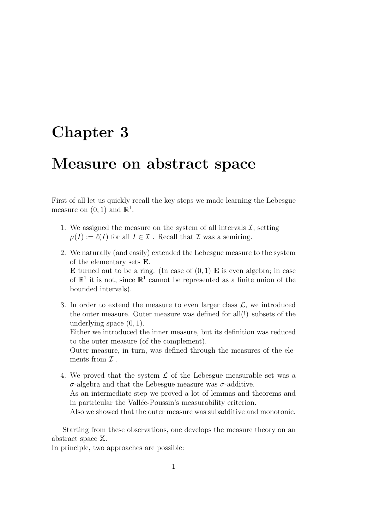## Chapter 3

## Measure on abstract space

First of all let us quickly recall the key steps we made learning the Lebesgue measure on  $(0, 1)$  and  $\mathbb{R}^1$ .

- 1. We assigned the measure on the system of all intervals  $\mathcal{I}$ , setting  $\mu(I) := \ell(I)$  for all  $I \in \mathcal{I}$ . Recall that  $\mathcal I$  was a semiring.
- 2. We naturally (and easily) extended the Lebesgue measure to the system of the elementary sets E. **E** turned out to be a ring. (In case of  $(0, 1)$  **E** is even algebra; in case of  $\mathbb{R}^1$  it is not, since  $\mathbb{R}^1$  cannot be represented as a finite union of the bounded intervals).
- 3. In order to extend the measure to even larger class  $\mathcal{L}$ , we introduced the outer measure. Outer measure was defined for all(!) subsets of the underlying space  $(0, 1)$ . Either we introduced the inner measure, but its definition was reduced

to the outer measure (of the complement).

Outer measure, in turn, was defined through the measures of the elements from  $\mathcal I$ .

4. We proved that the system  $\mathcal L$  of the Lebesgue measurable set was a σ-algebra and that the Lebesgue measure was σ-additive. As an intermediate step we proved a lot of lemmas and theorems and in partricular the Vallée-Poussin's measurability criterion. Also we showed that the outer measure was subadditive and monotonic.

Starting from these observations, one develops the measure theory on an abstract space X.

In principle, two approaches are possible: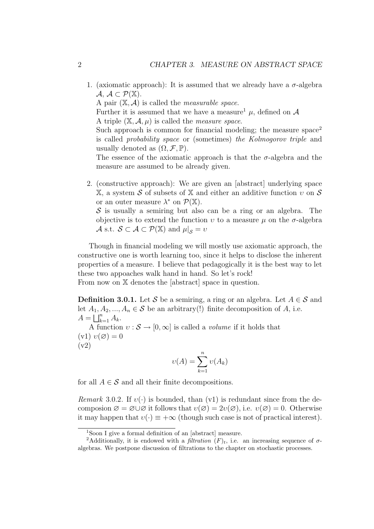1. (axiomatic approach): It is assumed that we already have a  $\sigma$ -algebra  $\mathcal{A}, \mathcal{A} \subset \mathcal{P}(\mathbb{X}).$ 

A pair  $(X, \mathcal{A})$  is called the *measurable space*.

Further it is assumed that we have a measure<sup>1</sup>  $\mu$ , defined on A A triple  $(X, \mathcal{A}, \mu)$  is called the *measure space*.

Such approach is common for financial modeling; the measure  $space<sup>2</sup>$ is called probability space or (sometimes) the Kolmogorov triple and usually denoted as  $(\Omega, \mathcal{F}, \mathbb{P})$ .

The essence of the axiomatic approach is that the  $\sigma$ -algebra and the measure are assumed to be already given.

2. (constructive approach): We are given an [abstract] underlying space X, a system S of subsets of X and either an additive function  $v$  on S or an outer measure  $\lambda^*$  on  $\mathcal{P}(\mathbb{X})$ .

 $\mathcal S$  is usually a semiring but also can be a ring or an algebra. The objective is to extend the function  $v$  to a measure  $\mu$  on the  $\sigma$ -algebra A s.t.  $S \subset \mathcal{A} \subset \mathcal{P}(\mathbb{X})$  and  $\mu|_{\mathcal{S}} = v$ 

Though in financial modeling we will mostly use axiomatic approach, the constructive one is worth learning too, since it helps to disclose the inherent properties of a measure. I believe that pedagogically it is the best way to let these two appoaches walk hand in hand. So let's rock!

From now on  $X$  denotes the [abstract] space in question.

**Definition 3.0.1.** Let S be a semiring, a ring or an algebra. Let  $A \in \mathcal{S}$  and let  $A_1, A_2, ..., A_n \in S$  be an arbitrary(!) finite decomposition of A, i.e.  $A=\bigsqcup_{k=1}^n A_k.$ 

A function  $v : \mathcal{S} \to [0, \infty]$  is called a *volume* if it holds that  $(v1)v(\emptyset) = 0$ (v2)

$$
\upsilon(A) = \sum_{k=1}^{n} \upsilon(A_k)
$$

for all  $A \in \mathcal{S}$  and all their finite decompositions.

Remark 3.0.2. If  $v(\cdot)$  is bounded, than (v1) is redundant since from the decomposion  $\emptyset = \emptyset \cup \emptyset$  it follows that  $v(\emptyset) = 2v(\emptyset)$ , i.e.  $v(\emptyset) = 0$ . Otherwise it may happen that  $v(\cdot) \equiv +\infty$  (though such case is not of practical interest).

<sup>&</sup>lt;sup>1</sup>Soon I give a formal definition of an [abstract] measure.

<sup>&</sup>lt;sup>2</sup>Additionally, it is endowed with a *filtration*  $(F)_t$ , i.e. an increasing sequence of  $\sigma$ algebras. We postpone discussion of filtrations to the chapter on stochastic processes.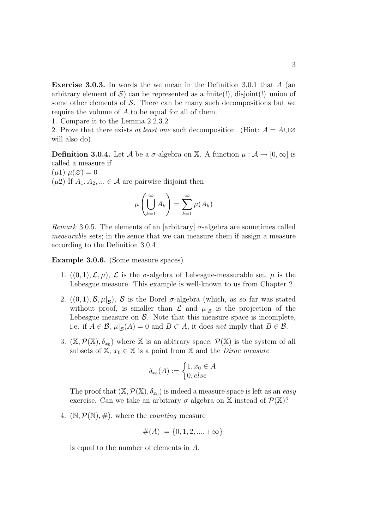**Exercise 3.0.3.** In words the we mean in the Definition 3.0.1 that  $A$  (an arbitrary element of  $\mathcal{S}$ ) can be represented as a finite(!), disjoint(!) union of some other elements of  $S$ . There can be many such decompositions but we require the volume of A to be equal for all of them.

1. Compare it to the Lemma 2.2.3.2

2. Prove that there exists at least one such decomposition. (Hint:  $A = A \cup \emptyset$ will also do).

**Definition 3.0.4.** Let A be a  $\sigma$ -algebra on X. A function  $\mu : \mathcal{A} \to [0, \infty]$  is called a measure if  $(\mu 1)$   $\mu(\emptyset) = 0$ 

 $(\mu 2)$  If  $A_1, A_2, \ldots \in \mathcal{A}$  are pairwise disjoint then

$$
\mu\left(\bigcup_{k=1}^{\infty} A_k\right) = \sum_{k=1}^{\infty} \mu(A_k)
$$

Remark 3.0.5. The elements of an [arbitrary]  $\sigma$ -algebra are sometimes called measurable sets; in the sence that we can measure them if assign a measure according to the Definition 3.0.4

Example 3.0.6. (Some measure spaces)

- 1.  $((0,1),\mathcal{L},\mu), \mathcal{L}$  is the  $\sigma$ -algebra of Lebesgue-measurable set,  $\mu$  is the Lebesgue measure. This example is well-known to us from Chapter 2.
- 2.  $((0,1), \mathcal{B}, \mu|_{\mathcal{B}})$ ,  $\mathcal{B}$  is the Borel  $\sigma$ -algebra (which, as so far was stated without proof, is smaller than  $\mathcal{L}$  and  $\mu|_{\mathcal{B}}$  is the projection of the Lebesgue measure on  $\beta$ . Note that this measure space is incomplete, i.e. if  $A \in \mathcal{B}$ ,  $\mu|_{\mathcal{B}}(A) = 0$  and  $B \subset A$ , it does not imply that  $B \in \mathcal{B}$ .
- 3.  $(\mathbb{X}, \mathcal{P}(\mathbb{X}), \delta_{x_0})$  where X is an abitrary space,  $\mathcal{P}(\mathbb{X})$  is the system of all subsets of  $X, x_0 \in X$  is a point from X and the *Dirac measure*

$$
\delta_{x_0}(A) := \begin{cases} 1, x_0 \in A \\ 0, else \end{cases}
$$

The proof that  $(\mathbb{X}, \mathcal{P}(\mathbb{X}), \delta_{x_0})$  is indeed a measure space is left as an easy exercise. Can we take an arbitrary  $\sigma$ -algebra on X instead of  $\mathcal{P}(\mathbb{X})$ ?

4.  $(\mathbb{N}, \mathcal{P}(\mathbb{N}), \#)$ , where the *counting* measure

$$
\#(A) := \{0, 1, 2, ..., +\infty\}
$$

is equal to the number of elements in A.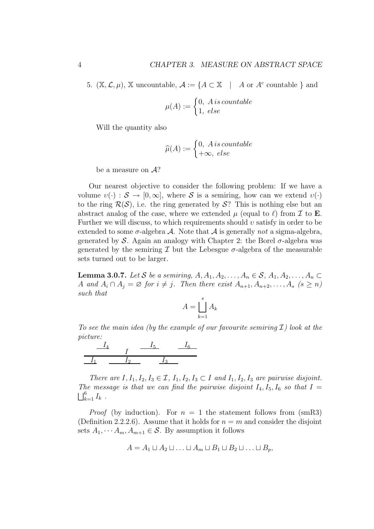5.  $(\mathbb{X}, \mathcal{L}, \mu)$ ,  $\mathbb{X}$  uncountable,  $\mathcal{A} := \{ A \subset \mathbb{X} \mid A \text{ or } A^c \text{ countable } \}$  and

$$
\mu(A) := \begin{cases} 0, & \text{if } A \text{ is countable} \\ 1, & \text{else} \end{cases}
$$

Will the quantity also

$$
\widehat{\mu}(A) := \begin{cases} 0, & \text{if } a \text{ is countable} \\ +\infty, & \text{else} \end{cases}
$$

be a measure on  $A$ ?

Our nearest objective to consider the following problem: If we have a volume  $v(\cdot): \mathcal{S} \to [0,\infty]$ , where S is a semiring, how can we extend  $v(\cdot)$ to the ring  $\mathcal{R}(\mathcal{S})$ , i.e. the ring generated by  $\mathcal{S}$ ? This is nothing else but an abstract analog of the case, where we extended  $\mu$  (equal to  $\ell$ ) from  $\mathcal I$  to **E**. Further we will discuss, to which requirements should  $v$  satisfy in order to be extended to some  $\sigma$ -algebra A. Note that A is generally not a sigma-algebra, generated by S. Again an analogy with Chapter 2: the Borel  $\sigma$ -algebra was generated by the semiring  $\mathcal I$  but the Lebesgue  $\sigma$ -algebra of the measurable sets turned out to be larger.

**Lemma 3.0.7.** Let S be a semiring,  $A, A_1, A_2, \ldots, A_n \in S$ ,  $A_1, A_2, \ldots, A_n \subset$ A and  $A_i \cap A_j = \emptyset$  for  $i \neq j$ . Then there exist  $A_{n+1}, A_{n+2}, \ldots, A_s$   $(s \geq n)$ such that

$$
A = \bigsqcup_{k=1}^{s} A_k
$$

To see the main idea (by the example of our favourite semiring  $\mathcal I$ ) look at the picture:



There are  $I, I_1, I_2, I_3 \in \mathcal{I}, I_1, I_2, I_3 \subset I$  and  $I_1, I_2, I_3$  are pairwise disjoint. The message is that we can find the pairwise disjoint  $I_4$ ,  $I_5$ ,  $I_6$  so that  $I =$  $\bigsqcup_{k=1}^6 I_k$ .

*Proof* (by induction). For  $n = 1$  the statement follows from (smR3) (Definition 2.2.2.6). Assume that it holds for  $n = m$  and consider the disjoint sets  $A_1, \cdots, A_m, A_{m+1} \in \mathcal{S}$ . By assumption it follows

$$
A = A_1 \sqcup A_2 \sqcup \ldots \sqcup A_m \sqcup B_1 \sqcup B_2 \sqcup \ldots \sqcup B_p,
$$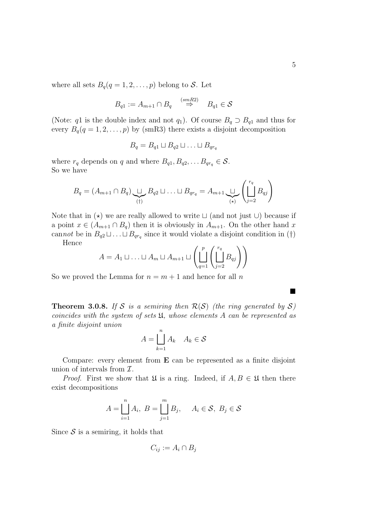$$
B_{q1} := A_{m+1} \cap B_q \stackrel{(smR2)}{\Rightarrow} B_{q1} \in \mathcal{S}
$$

(Note: q1 is the double index and not  $q_1$ ). Of course  $B_q \supset B_{q1}$  and thus for every  $B_q(q = 1, 2, \ldots, p)$  by (smR3) there exists a disjoint decomposition

$$
B_q = B_{q1} \sqcup B_{q2} \sqcup \ldots \sqcup B_{qrq}
$$

where  $r_q$  depends on q and where  $B_{q1}, B_{q2}, \ldots B_{qr_q} \in \mathcal{S}$ . So we have

$$
B_q = (A_{m+1} \cap B_q) \underbrace{\sqcup}_{(\dagger)} B_{q2} \sqcup \ldots \sqcup B_{qr_q} = A_{m+1} \underbrace{\sqcup}_{(\star)} \left( \coprod_{j=2}^{r_q} B_{qj} \right)
$$

Note that in  $(\star)$  we are really allowed to write  $\sqcup$  (and not just  $\bigcup$ ) because if a point  $x \in (A_{m+1} \cap B_q)$  then it is obviously in  $A_{m+1}$ . On the other hand x cannot be in  $B_{q_2} \sqcup \ldots \sqcup B_{q_r}$  since it would violate a disjoint condition in (†)

Hence

$$
A = A_1 \sqcup \ldots \sqcup A_m \sqcup A_{m+1} \sqcup \left( \bigsqcup_{q=1}^p \left( \bigsqcup_{j=2}^{r_q} B_{qj} \right) \right)
$$

So we proved the Lemma for  $n = m + 1$  and hence for all n

**Theorem 3.0.8.** If S is a semiring then  $\mathcal{R}(S)$  (the ring generated by S) coincides with the system of sets U, whose elements A can be represented as a finite disjoint union

$$
A = \bigsqcup_{k=1}^{n} A_k \quad A_k \in \mathcal{S}
$$

Compare: every element from E can be represented as a finite disjoint union of intervals from  $\mathcal{I}$ .

*Proof.* First we show that  $\mathfrak U$  is a ring. Indeed, if  $A, B \in \mathfrak U$  then there exist decompositions

$$
A = \bigsqcup_{i=1}^{n} A_i, \ B = \bigsqcup_{j=1}^{m} B_j, \quad A_i \in \mathcal{S}, \ B_j \in \mathcal{S}
$$

Since  $S$  is a semiring, it holds that

$$
C_{ij} := A_i \cap B_j
$$

 $\blacksquare$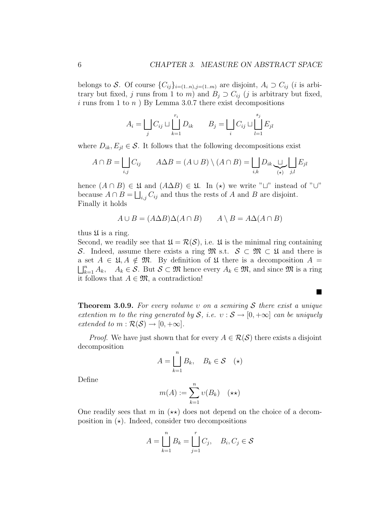belongs to S. Of course  $\{C_{ij}\}_{i=(1..n),j=(1..m)}$  are disjoint,  $A_i \supset C_{ij}$  (*i* is arbitrary but fixed, j runs from 1 to m) and  $B_j \supset C_{ij}$  (j is arbitrary but fixed, i runs from 1 to  $n$ ) By Lemma 3.0.7 there exist decompositions

$$
A_i = \bigsqcup_j C_{ij} \sqcup \bigsqcup_{k=1}^{r_i} D_{ik} \qquad B_j = \bigsqcup_i C_{ij} \sqcup \bigsqcup_{l=1}^{s_j} E_{jl}
$$

where  $D_{ik}, E_{jl} \in \mathcal{S}$ . It follows that the following decompositions exist

$$
A \cap B = \bigsqcup_{i,j} C_{ij} \qquad A \Delta B = (A \cup B) \setminus (A \cap B) = \bigsqcup_{i,k} D_{ik} \underbrace{\sqcup}_{(*)} \bigsqcup_{j,l} E_{jl}
$$

hence  $(A \cap B) \in \mathfrak{U}$  and  $(A \Delta B) \in \mathfrak{U}$ . In  $(\star)$  we write " $\sqcup$ " instead of " $\cup$ " because  $A \cap B = \bigsqcup_{i,j} C_{ij}$  and thus the rests of A and B are disjoint. Finally it holds

$$
A \cup B = (A \Delta B) \Delta (A \cap B) \qquad A \setminus B = A \Delta (A \cap B)
$$

thus  $\mathfrak U$  is a ring.

Second, we readily see that  $\mathfrak{U} = \mathcal{R}(\mathcal{S})$ , i.e.  $\mathfrak{U}$  is the minimal ring containing S. Indeed, assume there exists a ring  $\mathfrak{M}$  s.t.  $S \subset \mathfrak{M} \subset \mathfrak{U}$  and there is a set  $A \in \mathfrak{U}, A \notin \mathfrak{M}$ . By definition of  $\mathfrak{U}$  there is a decomposition  $A =$  $\bigsqcup_{k=1}^n A_k$ ,  $A_k \in \mathcal{S}$ . But  $\mathcal{S} \subset \mathfrak{M}$  hence every  $A_k \in \mathfrak{M}$ , and since  $\mathfrak{M}$  is a ring it follows that  $A \in \mathfrak{M}$ , a contradiction!

**Theorem 3.0.9.** For every volume v on a semiring S there exist a unique extention m to the ring generated by S, i.e.  $v : S \rightarrow [0, +\infty]$  can be uniquely extended to  $m : \mathcal{R}(\mathcal{S}) \to [0, +\infty]$ .

 $\blacksquare$ 

*Proof.* We have just shown that for every  $A \in \mathcal{R}(\mathcal{S})$  there exists a disjoint decomposition  $\overline{n}$ 

$$
A = \bigsqcup_{k=1}^{n} B_k, \quad B_k \in \mathcal{S} \quad (\star)
$$

Define

$$
m(A) := \sum_{k=1}^{n} \upsilon(B_k) \quad (\star \star)
$$

One readily sees that m in  $(\star \star)$  does not depend on the choice of a decomposition in  $(\star)$ . Indeed, consider two decompositions

$$
A = \bigsqcup_{k=1}^{n} B_k = \bigsqcup_{j=1}^{r} C_j, \quad B_i, C_j \in \mathcal{S}
$$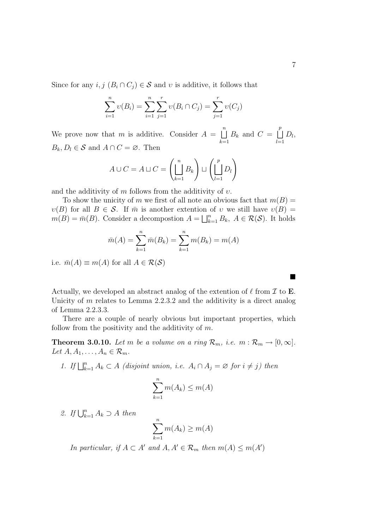Since for any  $i, j \ (B_i \cap C_j) \in \mathcal{S}$  and v is additive, it follows that

$$
\sum_{i=1}^{n} \nu(B_i) = \sum_{i=1}^{n} \sum_{j=1}^{r} \nu(B_i \cap C_j) = \sum_{j=1}^{r} \nu(C_j)
$$

We prove now that m is additive. Consider  $A =$  $\binom{n}{k}$  $k=1$  $B_k$  and  $C =$  $\overline{p}$  $_{l=1}$  $D_l$  $B_k, D_l \in \mathcal{S}$  and  $A \cap C = \emptyset$ . Then

$$
A \cup C = A \sqcup C = \left(\bigsqcup_{k=1}^{n} B_{k}\right) \sqcup \left(\bigsqcup_{l=1}^{p} D_{l}\right)
$$

and the additivity of  $m$  follows from the additivity of  $v$ .

To show the unicity of m we first of all note an obvious fact that  $m(B)$  =  $v(B)$  for all  $B \in \mathcal{S}$ . If  $\overline{m}$  is another extention of v we still have  $v(B)$  =  $m(B)$  for all  $B \in \mathcal{S}$ . If m is another extention  $m(B) = \overline{m}(B)$ . Consider a decompostion  $A = \begin{bmatrix} \mu \\ \nu \end{bmatrix}$  $_{k=1}^n B_k$ ,  $A \in \mathcal{R}(\mathcal{S})$ . It holds

$$
\bar{m}(A) = \sum_{k=1}^{n} \bar{m}(B_k) = \sum_{k=1}^{n} m(B_k) = m(A)
$$

i.e.  $\bar{m}(A) \equiv m(A)$  for all  $A \in \mathcal{R}(\mathcal{S})$ 

Actually, we developed an abstract analog of the extention of  $\ell$  from  $\mathcal I$  to **E**. Unicity of  $m$  relates to Lemma 2.2.3.2 and the additivity is a direct analog of Lemma 2.2.3.3.

There are a couple of nearly obvious but important properties, which follow from the positivity and the additivity of  $m$ .

**Theorem 3.0.10.** Let m be a volume on a ring  $\mathcal{R}_m$ , i.e.  $m : \mathcal{R}_m \to [0, \infty]$ . Let  $A, A_1, \ldots, A_n \in \mathcal{R}_m$ .

1. If  $\bigsqcup_{k=1}^{n} A_k \subset A$  (disjoint union, i.e.  $A_i \cap A_j = \emptyset$  for  $i \neq j$ ) then

$$
\sum_{k=1}^{n} m(A_k) \le m(A)
$$

2. If  $\bigcup_{k=1}^{n} A_k \supset A$  then

$$
\sum_{k=1}^{n} m(A_k) \ge m(A)
$$

In particular, if  $A \subset A'$  and  $A, A' \in \mathcal{R}_m$  then  $m(A) \leq m(A')$ 

¥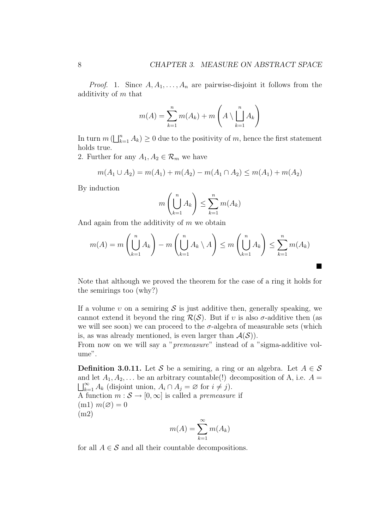*Proof.* 1. Since  $A, A_1, \ldots, A_n$  are pairwise-disjoint it follows from the additivity of m that

$$
m(A) = \sum_{k=1}^{n} m(A_k) + m\left(A \setminus \bigsqcup_{k=1}^{n} A_k\right)
$$

In turn  $m$  ( $\vert \ \vert_k^n$  $k=1 \choose k=1}$   $A_k$ )  $\geq 0$  due to the positivity of m, hence the first statement holds true.

2. Further for any  $A_1, A_2 \in \mathcal{R}_m$  we have

$$
m(A_1 \cup A_2) = m(A_1) + m(A_2) - m(A_1 \cap A_2) \le m(A_1) + m(A_2)
$$

By induction

$$
m\left(\bigcup_{k=1}^{n} A_k\right) \le \sum_{k=1}^{n} m(A_k)
$$

And again from the additivity of  $m$  we obtain

$$
m(A) = m\left(\bigcup_{k=1}^{n} A_k\right) - m\left(\bigcup_{k=1}^{n} A_k \setminus A\right) \le m\left(\bigcup_{k=1}^{n} A_k\right) \le \sum_{k=1}^{n} m(A_k)
$$

¥

Note that although we proved the theorem for the case of a ring it holds for the semirings too (why?)

If a volume v on a semiring S is just additive then, generally speaking, we cannot extend it beyond the ring  $\mathcal{R}(\mathcal{S})$ . But if v is also  $\sigma$ -additive then (as we will see soon) we can proceed to the  $\sigma$ -algebra of measurable sets (which is, as was already mentioned, is even larger than  $\mathcal{A}(\mathcal{S})$ .

From now on we will say a "premeasure" instead of a "sigma-additive volume".

**Definition 3.0.11.** Let S be a semiring, a ring or an algebra. Let  $A \in S$ and let  $A_1, A_2, \ldots$  be an arbitrary countable(!) decomposition of A, i.e.  $A =$  $\bigsqcup_{k=1}^{\infty} A_k$  (disjoint union,  $A_i \cap A_j = \emptyset$  for  $i \neq j$ ). A function  $m : \mathcal{S} \to [0, \infty]$  is called a *premeasure* if  $(m1)$   $m(\emptyset) = 0$ (m2)

$$
m(A) = \sum_{k=1}^{\infty} m(A_k)
$$

for all  $A \in \mathcal{S}$  and all their countable decompositions.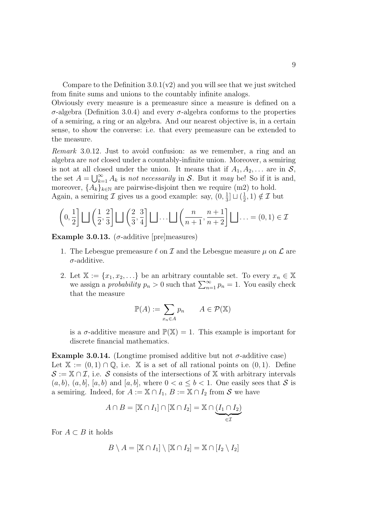Compare to the Definition  $3.0.1(v2)$  and you will see that we just switched from finite sums and unions to the countably infinite analogs.

Obviously every measure is a premeasure since a measure is defined on a σ-algebra (Definition 3.0.4) and every σ-algebra conforms to the properties of a semiring, a ring or an algebra. And our nearest objective is, in a certain sense, to show the converse: i.e. that every premeasure can be extended to the measure.

Remark 3.0.12. Just to avoid confusion: as we remember, a ring and an algebra are not closed under a countably-infinite union. Moreover, a semiring is not at all closed under the union. It means that if  $A_1, A_2, \ldots$  are in  $S$ ,<br>the set  $A \cup \mathbb{R}^{\infty}$  d is not necessarily in  $S$ . But it may be  $S_0$  if it is and the set  $A = \bigcup_{k=1}^{\infty} A_k$  is not necessarily in S. But it may be! So if it is and, moreover,  $\{A_k\}_{k\in\mathbb{N}}$  are pairwise-disjoint then we require (m2) to hold. Again, a semiring  $\mathcal I$  gives us a good example: say,  $(0, \frac{1}{3})$  $\frac{1}{3}$ ]  $\Box$   $\left(\frac{1}{2}\right)$  $(\frac{1}{2},1) \notin \mathcal{I}$  but

$$
\left(0, \frac{1}{2}\right) \bigsqcup \left(\frac{1}{2}, \frac{2}{3}\right) \bigsqcup \left(\frac{2}{3}, \frac{3}{4}\right) \bigsqcup \dots \bigsqcup \left(\frac{n}{n+1}, \frac{n+1}{n+2}\right) \bigsqcup \dots = (0, 1) \in \mathcal{I}
$$

Example 3.0.13. ( $\sigma$ -additive [pre]measures)

- 1. The Lebesgue premeasure  $\ell$  on  $\mathcal I$  and the Lebesgue measure  $\mu$  on  $\mathcal L$  are  $\sigma$ -additive.
- 2. Let  $\mathbb{X} := \{x_1, x_2, \ldots\}$  be an arbitrary countable set. To every  $x_n \in \mathbb{X}$ Let  $\mathbb{X} := \{x_1, x_2, \dots\}$  be an arbitrary countable set. To every  $x_n \in \mathbb{X}$ <br>we assign a *probability*  $p_n > 0$  such that  $\sum_{n=1}^{\infty} p_n = 1$ . You easily check that the measure

$$
\mathbb{P}(A) := \sum_{x_n \in A} p_n \qquad A \in \mathcal{P}(\mathbb{X})
$$

is a  $\sigma$ -additive measure and  $\mathbb{P}(\mathbb{X}) = 1$ . This example is important for discrete financial mathematics.

Example 3.0.14. (Longtime promised additive but not  $\sigma$ -additive case) Let  $\mathbb{X} := (0, 1) \cap \mathbb{Q}$ , i.e.  $\mathbb{X}$  is a set of all rational points on  $(0, 1)$ . Define  $\mathcal{S} := \mathbb{X} \cap \mathcal{I}$ , i.e. S consists of the intersections of X with arbitrary intervals  $(a, b), (a, b], [a, b)$  and  $[a, b],$  where  $0 < a \leq b < 1$ . One easily sees that S is a semiring. Indeed, for  $A := \mathbb{X} \cap I_1, B := \mathbb{X} \cap I_2$  from S we have

$$
A \cap B = [\mathbb{X} \cap I_1] \cap [\mathbb{X} \cap I_2] = \mathbb{X} \cap \underbrace{(I_1 \cap I_2)}_{\in \mathcal{I}}
$$

For  $A \subset B$  it holds

$$
B \setminus A = [\mathbb{X} \cap I_1] \setminus [\mathbb{X} \cap I_2] = \mathbb{X} \cap [I_2 \setminus I_2]
$$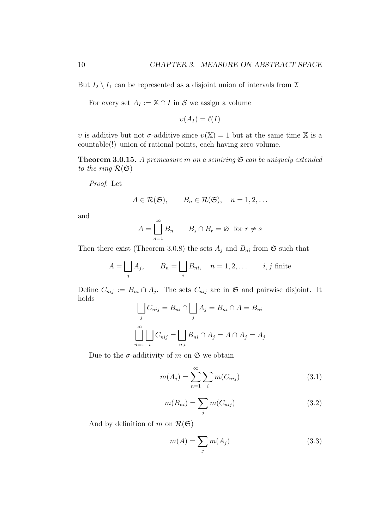But  $I_2 \setminus I_1$  can be represented as a disjoint union of intervals from  $\mathcal I$ 

For every set  $A_I := \mathbb{X} \cap I$  in S we assign a volume

$$
\upsilon(A_I) = \ell(I)
$$

v is additive but not  $\sigma$ -additive since  $v(\mathbb{X}) = 1$  but at the same time X is a countable(!) union of rational points, each having zero volume.

**Theorem 3.0.15.** A premeasure m on a semiring  $\mathfrak{S}$  can be uniquely extended to the ring  $\mathcal{R}(\mathfrak{S})$ 

Proof. Let

$$
A \in \mathcal{R}(\mathfrak{S}), \qquad B_n \in \mathcal{R}(\mathfrak{S}), \quad n = 1, 2, \dots
$$

and

$$
A = \bigcup_{n=1}^{\infty} B_n \qquad B_s \cap B_r = \varnothing \text{ for } r \neq s
$$

Then there exist (Theorem 3.0.8) the sets  $A_j$  and  $B_{ni}$  from  $\mathfrak{S}$  such that

$$
A = \bigsqcup_j A_j, \qquad B_n = \bigsqcup_i B_{ni}, \quad n = 1, 2, \dots \qquad i, j \text{ finite}
$$

Define  $C_{nij} := B_{ni} \cap A_j$ . The sets  $C_{nij}$  are in  $\mathfrak{S}$  and pairwise disjoint. It holds  $\overline{G}$  $\overline{G}$ 

$$
\bigcup_{j} C_{nij} = B_{ni} \cap \bigcup_{j} A_j = B_{ni} \cap A = B_{ni}
$$

$$
\bigcup_{n=1}^{\infty} \bigcup_{i} C_{nij} = \bigcup_{n,i} B_{ni} \cap A_j = A \cap A_j = A_j
$$

Due to the  $\sigma$ -additivity of m on  $\mathfrak S$  we obtain

$$
m(A_j) = \sum_{n=1}^{\infty} \sum_{i} m(C_{nij})
$$
 (3.1)

$$
m(B_{ni}) = \sum_{j} m(C_{nij})
$$
\n(3.2)

And by definition of m on  $\mathcal{R}(\mathfrak{S})$ 

$$
m(A) = \sum_{j} m(A_j) \tag{3.3}
$$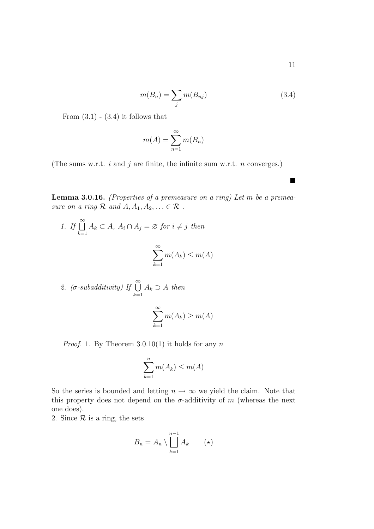$$
m(B_n) = \sum_j m(B_{nj})
$$
\n(3.4)

From  $(3.1)$  -  $(3.4)$  it follows that

$$
m(A) = \sum_{n=1}^{\infty} m(B_n)
$$

(The sums w.r.t.  $i$  and  $j$  are finite, the infinite sum w.r.t.  $n$  converges.)

**Lemma 3.0.16.** (Properties of a premeasure on a ring) Let  $m$  be a premeasure on a ring  $\mathcal R$  and  $A, A_1, A_2, \ldots \in \mathcal R$ .

1. If 
$$
\bigcup_{k=1}^{\infty} A_k \subset A
$$
,  $A_i \cap A_j = \emptyset$  for  $i \neq j$  then  

$$
\sum_{k=1}^{\infty} m(A_k) \leq m(A)
$$

2. 
$$
(\sigma
$$
-subadditivity) If  $\bigcup_{k=1}^{\infty} A_k \supset A$  then

$$
\sum_{k=1}^{\infty} m(A_k) \ge m(A)
$$

*Proof.* 1. By Theorem  $3.0.10(1)$  it holds for any n

$$
\sum_{k=1}^{n} m(A_k) \le m(A)
$$

So the series is bounded and letting  $n \to \infty$  we yield the claim. Note that this property does not depend on the  $\sigma$ -additivity of m (whereas the next one does).

2. Since  $\mathcal R$  is a ring, the sets

$$
B_n = A_n \setminus \bigsqcup_{k=1}^{n-1} A_k \qquad (*)
$$

¥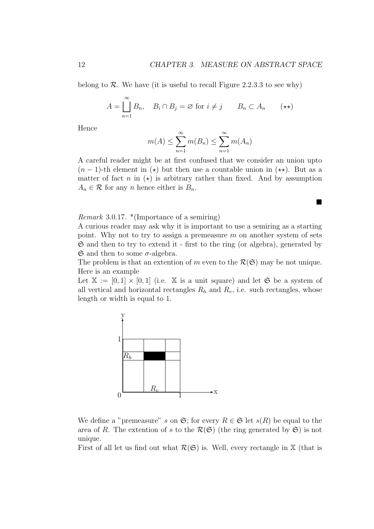¥

belong to  $\mathcal R$ . We have (it is useful to recall Figure 2.2.3.3 to see why)

$$
A = \bigcup_{n=1}^{\infty} B_n, \quad B_i \cap B_j = \varnothing \text{ for } i \neq j \qquad B_n \subset A_n \qquad (\star \star)
$$

Hence

$$
m(A) \le \sum_{n=1}^{\infty} m(B_n) \le \sum_{n=1}^{\infty} m(A_n)
$$

A careful reader might be at first confused that we consider an union upto  $(n-1)$ -th element in  $(\star)$  but then use a countable union in  $(\star \star)$ . But as a matter of fact n in  $(\star)$  is arbitrary rather than fixed. And by assumption  $A_n \in \mathcal{R}$  for any *n* hence either is  $B_n$ .

Remark 3.0.17. \*(Importance of a semiring)

A curious reader may ask why it is important to use a semiring as a starting point. Why not to try to assign a premeasure  $m$  on another system of sets  $\mathfrak S$  and then to try to extend it - first to the ring (or algebra), generated by  $\mathfrak S$  and then to some  $\sigma$ -algebra.

The problem is that an extention of m even to the  $\mathcal{R}(\mathfrak{S})$  may be not unique. Here is an example

Let  $X := [0, 1] \times [0, 1]$  (i.e. X is a unit square) and let G be a system of all vertical and horizontal rectangles  $R_h$  and  $R_v$ , i.e. such rectangles, whose length or width is equal to 1.



We define a "premeasure" s on  $\mathfrak{S}$ ; for every  $R \in \mathfrak{S}$  let  $s(R)$  be equal to the area of R. The extention of s to the  $\mathcal{R}(\mathfrak{S})$  (the ring generated by  $\mathfrak{S}$ ) is not unique.

First of all let us find out what  $\mathcal{R}(\mathfrak{S})$  is. Well, every rectangle in X (that is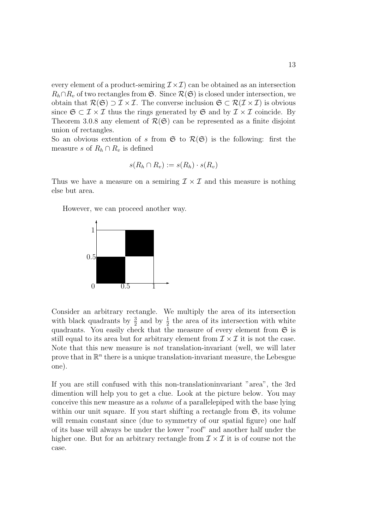every element of a product-semiring  $\mathcal{I} \times \mathcal{I}$  can be obtained as an intersection  $R_h \cap R_v$  of two rectangles from  $\mathfrak{S}$ . Since  $\mathcal{R}(\mathfrak{S})$  is closed under intersection, we obtain that  $\mathcal{R}(\mathfrak{S}) \supset \mathcal{I} \times \mathcal{I}$ . The converse inclusion  $\mathfrak{S} \subset \mathcal{R}(\mathcal{I} \times \mathcal{I})$  is obvious since  $\mathfrak{S} \subset \mathcal{I} \times \mathcal{I}$  thus the rings generated by  $\mathfrak{S}$  and by  $\mathcal{I} \times \mathcal{I}$  coincide. By Theorem 3.0.8 any element of  $\mathcal{R}(\mathfrak{S})$  can be represented as a finite disjoint union of rectangles.

So an obvious extention of s from  $\mathfrak{S}$  to  $\mathcal{R}(\mathfrak{S})$  is the following: first the measure s of  $R_h \cap R_v$  is defined

$$
s(R_h \cap R_v) := s(R_h) \cdot s(R_v)
$$

Thus we have a measure on a semiring  $\mathcal{I} \times \mathcal{I}$  and this measure is nothing else but area.

However, we can proceed another way.



Consider an arbitrary rectangle. We multiply the area of its intersection with black quadrants by  $\frac{3}{2}$  and by  $\frac{1}{2}$  the area of its intersection with white quadrants. You easily check that the measure of every element from  $\mathfrak S$  is still equal to its area but for arbitrary element from  $\mathcal{I} \times \mathcal{I}$  it is not the case. Note that this new measure is not translation-invariant (well, we will later prove that in  $\mathbb{R}^n$  there is a unique translation-invariant measure, the Lebesgue one).

If you are still confused with this non-translationinvariant "area", the 3rd dimention will help you to get a clue. Look at the picture below. You may conceive this new measure as a volume of a parallelepiped with the base lying within our unit square. If you start shifting a rectangle from  $\mathfrak{S}$ , its volume will remain constant since (due to symmetry of our spatial figure) one half of its base will always be under the lower "roof" and another half under the higher one. But for an arbitrary rectangle from  $\mathcal{I} \times \mathcal{I}$  it is of course not the case.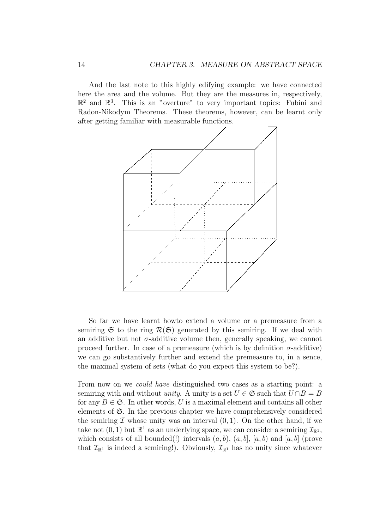And the last note to this highly edifying example: we have connected here the area and the volume. But they are the measures in, respectively,  $\mathbb{R}^2$  and  $\mathbb{R}^3$ . This is an "overture" to very important topics: Fubini and Radon-Nikodym Theorems. These theorems, however, can be learnt only after getting familiar with measurable functions.



So far we have learnt howto extend a volume or a premeasure from a semiring  $\mathfrak S$  to the ring  $\mathcal R(\mathfrak S)$  generated by this semiring. If we deal with an additive but not  $\sigma$ -additive volume then, generally speaking, we cannot proceed further. In case of a premeasure (which is by definition  $\sigma$ -additive) we can go substantively further and extend the premeasure to, in a sence, the maximal system of sets (what do you expect this system to be?).

From now on we could have distinguished two cases as a starting point: a semiring with and without *unity*. A unity is a set  $U \in \mathfrak{S}$  such that  $U \cap B = B$ for any  $B \in \mathfrak{S}$ . In other words, U is a maximal element and contains all other elements of  $\mathfrak{S}$ . In the previous chapter we have comprehensively considered the semiring  $\mathcal I$  whose unity was an interval  $(0, 1)$ . On the other hand, if we take not  $(0, 1)$  but  $\mathbb{R}^1$  as an underlying space, we can consider a semiring  $\mathcal{I}_{\mathbb{R}^1}$ , which consists of all bounded(!) intervals  $(a, b)$ ,  $(a, b]$ ,  $[a, b]$  and  $[a, b]$  (prove that  $\mathcal{I}_{\mathbb{R}^1}$  is indeed a semiring!). Obviously,  $\mathcal{I}_{\mathbb{R}^1}$  has no unity since whatever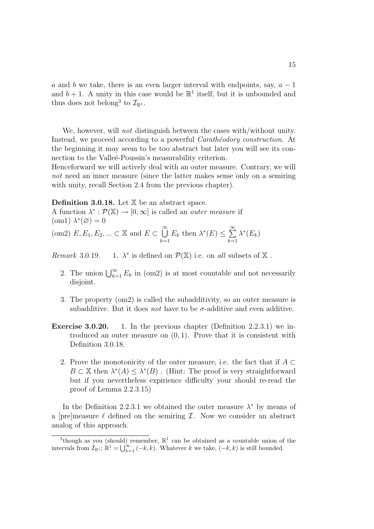a and b we take, there is an even larger interval with endpoints, say,  $a - 1$ and  $b+1$ . A unity in this case would be  $\mathbb{R}^1$  itself, but it is unbounded and thus does not belong<sup>3</sup> to  $\mathcal{I}_{\mathbb{R}^1}$ .

We, however, will *not* distinguish between the cases with/without unity. Instead, we proceed according to a powerful *Carathéodory construction*. At the beginning it may seem to be too abstract but later you will see its connection to the Valleé-Poussin's measurability criterion.

Henceforward we will actively deal with an outer measure. Contrary, we will not need an inner measure (since the latter makes sense only on a semiring with unity, recall Section 2.4 from the previous chapter).

Definition 3.0.18. Let  $X$  be an abstract space.

A function  $\lambda^*: \mathcal{P}(\mathbb{X}) \to [0, \infty]$  is called an *outer measure* if (om1)  $\lambda^*(\emptyset) = 0$ 

$$
\text{(om2) } E, E_1, E_2, \dots \subset \mathbb{X} \text{ and } E \subset \bigcup_{k=1}^{\infty} E_k \text{ then } \lambda^*(E) \le \sum_{k=1}^{\infty} \lambda^*(E_k)
$$

 $Remark\ 3.0.19.$ \* is defined on  $\mathcal{P}(\mathbb{X})$  i.e. on all subsets of  $\mathbb X$ .

- 2. The union  $\bigcup_{k=1}^{\infty} E_k$  in (om2) is at most countable and not necessarily disjoint.
- 3. The property (om2) is called the subadditivity, so an outer measure is subadditive. But it does not have to be  $\sigma$ -additive and even additive.
- Exercise 3.0.20. 1. In the previous chapter (Definition 2.2.3.1) we introduced an outer measure on  $(0, 1)$ . Prove that it is consistent with Definition 3.0.18.
	- 2. Prove the monotonicity of the outer measure, i.e. the fact that if  $A \subset$  $B \subset \mathbb{X}$  then  $\lambda^*(A) \leq \lambda^*(B)$ . (Hint: The proof is very straightforward but if you nevertheless expirience difficulty your should re-read the proof of Lemma 2.2.3.15)

In the Definition 2.2.3.1 we obtained the outer measure  $\lambda^*$  by means of a [pre]measure  $\ell$  defined on the semiring  $\mathcal{I}$ . Now we consider an abstract analog of this approach.

<sup>&</sup>lt;sup>3</sup>though as you (should) remember,  $\mathbb{R}^1$  can be obtained as a countable union of the intervals from  $\mathcal{I}_{\mathbb{R}^1}$ ;  $\mathbb{R}^1 = \bigcup_{k=1}^{\infty} (-k, k)$ . Whatever k we take,  $(-k, k)$  is still bounded.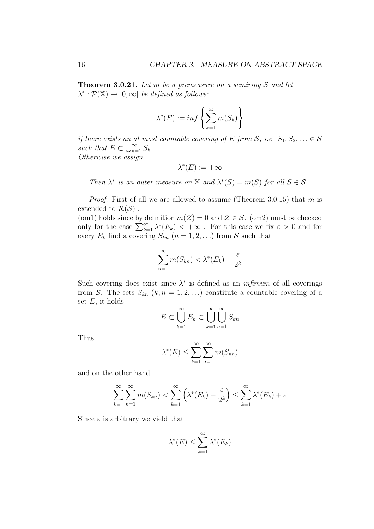**Theorem 3.0.21.** Let m be a premeasure on a semiring S and let  $\lambda^*: \mathcal{P}(\mathbb{X}) \to [0, \infty]$  be defined as follows:

$$
\lambda^*(E) := \inf \left\{ \sum_{k=1}^{\infty} m(S_k) \right\}
$$

if there exists an at most countable covering of E from S, i.e.  $S_1, S_2, \ldots \in \mathcal{S}$ *u* incre exists an a<br>such that  $E \subset \bigcup_{k=1}^{\infty}$  $_{k=1}^{\infty} S_k$ . Otherwise we assign

$$
\lambda^*(E) := +\infty
$$

Then  $\lambda^*$  is an outer measure on X and  $\lambda^*(S) = m(S)$  for all  $S \in \mathcal{S}$ .

*Proof.* First of all we are allowed to assume (Theorem 3.0.15) that m is extended to  $\mathcal{R}(\mathcal{S})$ .

(om1) holds since by definition  $m(\emptyset) = 0$  and  $\emptyset \in \mathcal{S}$ . (om2) must be checked (om) not since by definition  $m(\varnothing) = 0$  and  $\varnothing \in \mathcal{S}$ . (om 2) must be checked<br>only for the case  $\sum_{k=1}^{\infty} \lambda^*(E_k) < +\infty$ . For this case we fix  $\varepsilon > 0$  and for every  $E_k$  find a covering  $S_{kn}$   $(n = 1, 2, ...)$  from S such that

$$
\sum_{n=1}^{\infty} m(S_{kn}) < \lambda^*(E_k) + \frac{\varepsilon}{2^k}
$$

Such covering does exist since  $\lambda^*$  is defined as an *infimum* of all coverings from S. The sets  $S_{kn}$   $(k, n = 1, 2, ...)$  constitute a countable covering of a set  $E$ , it holds

$$
E \subset \bigcup_{k=1}^{\infty} E_k \subset \bigcup_{k=1}^{\infty} \bigcup_{n=1}^{\infty} S_{kn}
$$

Thus

$$
\lambda^*(E) \le \sum_{k=1}^{\infty} \sum_{n=1}^{\infty} m(S_{kn})
$$

and on the other hand

$$
\sum_{k=1}^{\infty} \sum_{n=1}^{\infty} m(S_{kn}) < \sum_{k=1}^{\infty} \left( \lambda^*(E_k) + \frac{\varepsilon}{2^k} \right) \le \sum_{k=1}^{\infty} \lambda^*(E_k) + \varepsilon
$$

Since  $\varepsilon$  is arbitrary we yield that

$$
\lambda^*(E) \le \sum_{k=1}^{\infty} \lambda^*(E_k)
$$

X<sup>∞</sup>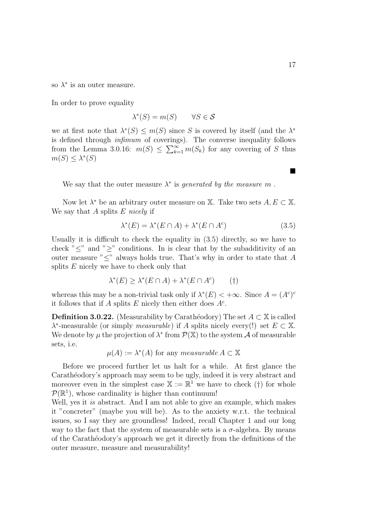so  $\lambda^*$  is an outer measure.

In order to prove equality

 $\lambda^*(S) = m(S) \quad \forall S \in \mathcal{S}$ 

we at first note that  $\lambda^*(S) \leq m(S)$  since S is covered by itself (and the  $\lambda^*$ is defined through infimum of coverings). The converse inequality follows is defined through *infimum* of covering<br>from the Lemma 3.0.16:  $m(S) \leq \sum_{k=1}^{\infty}$  $\sum_{k=1}^{\infty} m(S_k)$  for any covering of S thus  $m(S) \leq \lambda^*(S)$ 

We say that the outer measure  $\lambda^*$  is *generated by the measure m*.

Now let  $\lambda^*$  be an arbitrary outer measure on X. Take two sets  $A, E \subset X$ . We say that A splits  $E$  nicely if

$$
\lambda^*(E) = \lambda^*(E \cap A) + \lambda^*(E \cap A^c)
$$
\n(3.5)

Usually it is difficult to check the equality in (3.5) directly, so we have to check " $\leq$ " and " $\geq$ " conditions. In is clear that by the subadditivity of an outer measure "≤" always holds true. That's why in order to state that A splits  $E$  nicely we have to check only that

$$
\lambda^*(E) \ge \lambda^*(E \cap A) + \lambda^*(E \cap A^c) \qquad (\dagger)
$$

whereas this may be a non-trivial task only if  $\lambda^*(E) < +\infty$ . Since  $A = (A^c)^c$ it follows that if A splits E nicely then either does  $A<sup>c</sup>$ .

**Definition 3.0.22.** (Measurability by Carathéodory) The set  $A \subset \mathbb{X}$  is called  $\lambda^*$ -measurable (or simply *measurable*) if A splits nicely every(!) set  $E \subset \mathbb{X}$ . We denote by  $\mu$  the projection of  $\lambda^*$  from  $\mathcal{P}(\mathbb{X})$  to the system A of measurable sets, i.e.

 $\mu(A) := \lambda^*(A)$  for any measurable  $A \subset \mathbb{X}$ 

Before we proceed further let us halt for a while. At first glance the Carathéodory's approach may seem to be ugly, indeed it is very abstract and moreover even in the simplest case  $\mathbb{X} := \mathbb{R}^1$  we have to check (†) for whole  $\mathcal{P}(\mathbb{R}^1)$ , whose cardinality is higher than continuum!

Well, yes it is abstract. And I am not able to give an example, which makes it "concreter" (maybe you will be). As to the anxiety w.r.t. the technical issues, so I say they are groundless! Indeed, recall Chapter 1 and our long way to the fact that the system of measurable sets is a  $\sigma$ -algebra. By means of the Carath´eodory's approach we get it directly from the definitions of the outer measure, measure and measurability!

¥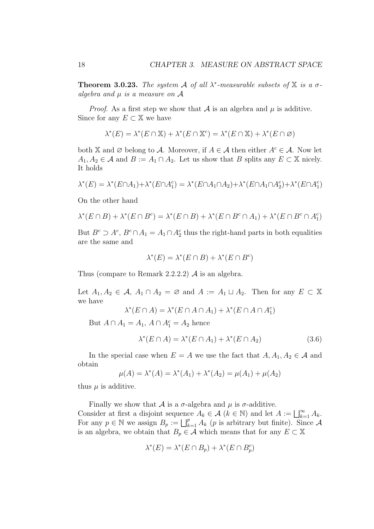**Theorem 3.0.23.** The system A of all  $\lambda^*$ -measurable subsets of X is a  $\sigma$ algebra and  $\mu$  is a measure on  $\mathcal A$ 

*Proof.* As a first step we show that  $\mathcal A$  is an algebra and  $\mu$  is additive. Since for any  $E \subset \mathbb{X}$  we have

$$
\lambda^*(E) = \lambda^*(E \cap \mathbb{X}) + \lambda^*(E \cap \mathbb{X}^c) = \lambda^*(E \cap \mathbb{X}) + \lambda^*(E \cap \emptyset)
$$

both X and Ø belong to A. Moreover, if  $A \in \mathcal{A}$  then either  $A^c \in \mathcal{A}$ . Now let  $A_1, A_2 \in \mathcal{A}$  and  $B := A_1 \cap A_2$ . Let us show that B splits any  $E \subset \mathbb{X}$  nicely. It holds

$$
\lambda^*(E) = \lambda^*(E \cap A_1) + \lambda^*(E \cap A_1^c) = \lambda^*(E \cap A_1 \cap A_2) + \lambda^*(E \cap A_1 \cap A_2^c) + \lambda^*(E \cap A_1^c)
$$

On the other hand

$$
\lambda^*(E \cap B) + \lambda^*(E \cap B^c) = \lambda^*(E \cap B) + \lambda^*(E \cap B^c \cap A_1) + \lambda^*(E \cap B^c \cap A_1^c)
$$

But  $B^c \supseteq A^c$ ,  $B^c \cap A_1 = A_1 \cap A_2^c$  thus the right-hand parts in both equalities are the same and

$$
\lambda^*(E) = \lambda^*(E \cap B) + \lambda^*(E \cap B^c)
$$

Thus (compare to Remark 2.2.2.2)  $\mathcal A$  is an algebra.

Let  $A_1, A_2 \in \mathcal{A}, A_1 \cap A_2 = \emptyset$  and  $A := A_1 \sqcup A_2$ . Then for any  $E \subset \mathbb{X}$ we have

$$
\lambda^*(E \cap A) = \lambda^*(E \cap A \cap A_1) + \lambda^*(E \cap A \cap A_1^c)
$$

But  $A \cap A_1 = A_1$ ,  $A \cap A_1^c = A_2$  hence

$$
\lambda^*(E \cap A) = \lambda^*(E \cap A_1) + \lambda^*(E \cap A_2)
$$
\n(3.6)

In the special case when  $E = A$  we use the fact that  $A, A_1, A_2 \in \mathcal{A}$  and obtain

$$
\mu(A) = \lambda^*(A) = \lambda^*(A_1) + \lambda^*(A_2) = \mu(A_1) + \mu(A_2)
$$

thus  $\mu$  is additive.

Finally we show that  $\mathcal A$  is a  $\sigma$ -algebra and  $\mu$  is  $\sigma$ -additive. Finally we show that A is a *o*-algebra and  $\mu$  is *o*-additive.<br>Consider at first a disjoint sequence  $A_k \in \mathcal{A}$  ( $k \in \mathbb{N}$ ) and let  $A := \bigsqcup_{k=1}^{\infty} A_k$ . For any  $p \in \mathbb{N}$  we assign  $B_p := \bigsqcup_{k=1}^p A_k$  (*p* is arbitrary but finite). Since A is an algebra, we obtain that  $B_p \in \mathcal{A}$  which means that for any  $E \subset \mathbb{X}$ 

$$
\lambda^*(E) = \lambda^*(E \cap B_p) + \lambda^*(E \cap B_p^c)
$$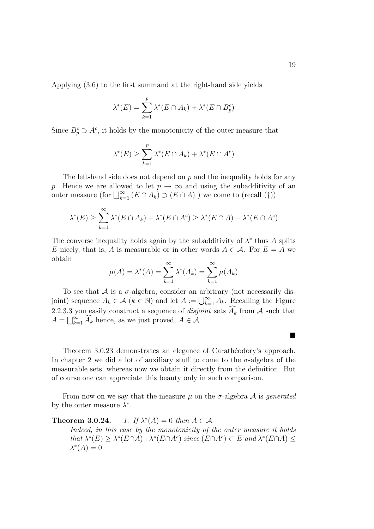Applying (3.6) to the first summand at the right-hand side yields

$$
\lambda^*(E) = \sum_{k=1}^p \lambda^*(E \cap A_k) + \lambda^*(E \cap B_p^c)
$$

Since  $B_p^c \supset A^c$ , it holds by the monotonicity of the outer measure that

$$
\lambda^*(E) \ge \sum_{k=1}^p \lambda^*(E \cap A_k) + \lambda^*(E \cap A^c)
$$

The left-hand side does not depend on  $p$  and the inequality holds for any p. Hence we are allowed to let  $p \to \infty$  and using the subadditivity of an p. Hence we are anowed to let  $p \to \infty$  and using the subadditivity<br>outer measure (for  $\bigsqcup_{k=1}^{\infty} (E \cap A_k) \supset (E \cap A)$ ) we come to (recall (†))

$$
\lambda^*(E) \ge \sum_{k=1}^{\infty} \lambda^*(E \cap A_k) + \lambda^*(E \cap A^c) \ge \lambda^*(E \cap A) + \lambda^*(E \cap A^c)
$$

The converse inequality holds again by the subadditivity of  $\lambda^*$  thus A splits E nicely, that is, A is measurable or in other words  $A \in \mathcal{A}$ . For  $E = A$  we obtain

$$
\mu(A) = \lambda^*(A) = \sum_{k=1}^{\infty} \lambda^*(A_k) = \sum_{k=1}^{\infty} \mu(A_k)
$$

To see that  $A$  is a  $\sigma$ -algebra, consider an arbitrary (not necessarily dis-To see that A is a *o*-algebra, consider an arbitrary (not necessarily disjoint) sequence  $A_k \in \mathcal{A}$  ( $k \in \mathbb{N}$ ) and let  $A := \bigcup_{k=1}^{\infty} A_k$ . Recalling the Figure 2.2.3.3 you easily construct a sequence of *disjoint* sets  $\widehat{A}_k$  from A such that 2.2.5.5 you easily construct a sequence of *aisje*  $A = \bigsqcup_{k=1}^{\infty} \widehat{A_k}$  hence, as we just proved,  $A \in \mathcal{A}$ .

Theorem 3.0.23 demonstrates an elegance of Carathéodory's approach. In chapter 2 we did a lot of auxiliary stuff to come to the  $\sigma$ -algebra of the measurable sets, whereas now we obtain it directly from the definition. But of course one can appreciate this beauty only in such comparison.

From now on we say that the measure  $\mu$  on the  $\sigma$ -algebra  $\mathcal A$  is generated by the outer measure  $\lambda^*$ .

Theorem  $3.0.24$ . \* $(A) = 0$  then  $A \in \mathcal{A}$ 

> Indeed, in this case by the monotonicity of the outer measure it holds that  $\lambda^*(E) \geq \lambda^*(E \cap A) + \lambda^*(E \cap A^c)$  since  $(E \cap A^c) \subset E$  and  $\lambda^*(E \cap A) \leq$  $\lambda^*(A) = 0$

 $\blacksquare$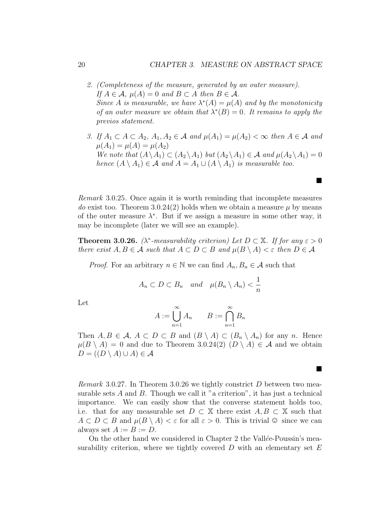¥

 $\blacksquare$ 

- 2. (Completeness of the measure, generated by an outer measure). If  $A \in \mathcal{A}$ ,  $\mu(A) = 0$  and  $B \subset A$  then  $B \in \mathcal{A}$ . Since A is measurable, we have  $\lambda^*(A) = \mu(A)$  and by the monotonicity of an outer measure we obtain that  $\lambda^*(B) = 0$ . It remains to apply the previos statement.
- 3. If  $A_1 \subset A \subset A_2$ ,  $A_1, A_2 \in \mathcal{A}$  and  $\mu(A_1) = \mu(A_2) < \infty$  then  $A \in \mathcal{A}$  and  $\mu(A_1) = \mu(A) = \mu(A_2)$ We note that  $(A \setminus A_1) \subset (A_2 \setminus A_1)$  but  $(A_2 \setminus A_1) \in \mathcal{A}$  and  $\mu(A_2 \setminus A_1) = 0$ hence  $(A \setminus A_1) \in \mathcal{A}$  and  $A = A_1 \cup (A \setminus A_1)$  is measurable too.

Remark 3.0.25. Once again it is worth reminding that incomplete measures do exist too. Theorem 3.0.24(2) holds when we obtain a measure  $\mu$  by means of the outer measure  $\lambda^*$ . But if we assign a measure in some other way, it may be incomplete (later we will see an example).

**Theorem 3.0.26.** ( $\lambda^*$ -measurability criterion) Let  $D \subset \mathbb{X}$ . If for any  $\varepsilon > 0$ there exist  $A, B \in \mathcal{A}$  such that  $A \subset D \subset B$  and  $\mu(B \setminus A) < \varepsilon$  then  $D \in \mathcal{A}$ 

*Proof.* For an arbitrary  $n \in \mathbb{N}$  we can find  $A_n, B_n \in \mathcal{A}$  such that

$$
A_n \subset D \subset B_n \quad and \quad \mu(B_n \setminus A_n) < \frac{1}{n}
$$

Let

$$
A := \bigcup_{n=1}^{\infty} A_n \qquad B := \bigcap_{n=1}^{\infty} B_n
$$

Then  $A, B \in \mathcal{A}, A \subset D \subset B$  and  $(B \setminus A) \subset (B_n \setminus A_n)$  for any n. Hence  $\mu(B \setminus A) = 0$  and due to Theorem 3.0.24(2)  $(D \setminus A) \in A$  and we obtain  $D = ((D \setminus A) \cup A) \in \mathcal{A}$ 

*Remark* 3.0.27. In Theorem 3.0.26 we tightly constrict D between two measurable sets  $A$  and  $B$ . Though we call it "a criterion", it has just a technical importance. We can easily show that the converse statement holds too, i.e. that for any measurable set  $D \subset \mathbb{X}$  there exist  $A, B \subset \mathbb{X}$  such that  $A \subset D \subset B$  and  $\mu(B \setminus A) < \varepsilon$  for all  $\varepsilon > 0$ . This is trivial  $\odot$  since we can always set  $A := B := D$ .

On the other hand we considered in Chapter 2 the Vallée-Poussin's measurability criterion, where we tightly covered  $D$  with an elementary set  $E$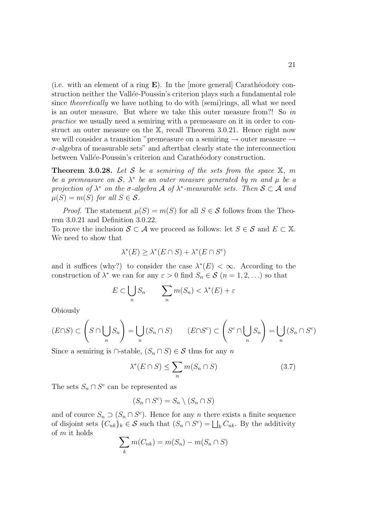(i.e. with an element of a ring  $E$ ). In the [more general] Carathéodory construction neither the Vallée-Poussin's criterion plays such a fundamental role since *theoretically* we have nothing to do with (semi)rings, all what we need is an outer measure. But where we take this outer measure from?! So in practice we usually need a semiring with a premeasure on it in order to construct an outer measure on the X, recall Theorem 3.0.21. Hence right now we will consider a transition "premeasure on a semiring  $\rightarrow$  outer measure  $\rightarrow$  $\sigma$ -algebra of measurable sets" and after that clearly state the interconnection between Vallée-Poussin's criterion and Carathéodory construction.

**Theorem 3.0.28.** Let S be a semiring of the sets from the space  $\mathbb{X}$ , m be a premeasure on S,  $\lambda^*$  be an outer measure generated by m and  $\mu$  be a projection of  $\lambda^*$  on the  $\sigma$ -algebra A of  $\lambda^*$ -measurable sets. Then  $\mathcal{S} \subset \mathcal{A}$  and  $\mu(S) = m(S)$  for all  $S \in \mathcal{S}$ .

*Proof.* The statement  $\mu(S) = m(S)$  for all  $S \in \mathcal{S}$  follows from the Theorem 3.0.21 and Definition 3.0.22.

To prove the inclusion  $S \subset A$  we proceed as follows: let  $S \in \mathcal{S}$  and  $E \subset \mathbb{X}$ . We need to show that

$$
\lambda^*(E) \ge \lambda^*(E \cap S) + \lambda^*(E \cap S^c)
$$

and it suffices (why?) to consider the case  $\lambda^*(E) < \infty$ . According to the construction of  $\lambda^*$  we can for any  $\varepsilon > 0$  find  $S_n \in \mathcal{S}$   $(n = 1, 2, ...)$  so that

$$
E \subset \bigcup_{n} S_n \qquad \sum_{n} m(S_n) < \lambda^*(E) + \varepsilon
$$

Obiously

$$
(E \cap S) \subset \left(S \cap \bigcup_{n} S_n\right) = \bigcup_{n} \left(S_n \cap S\right) \qquad (E \cap S^c) \subset \left(S^c \cap \bigcup_{n} S_n\right) = \bigcup_{n} \left(S_n \cap S^c\right)
$$

Since a semiring is  $\cap$ -stable,  $(S_n \cap S) \in \mathcal{S}$  thus for any n

$$
\lambda^*(E \cap S) \le \sum_n m(S_n \cap S) \tag{3.7}
$$

The sets  $S_n \cap S^c$  can be represented as

$$
(S_n \cap S^c) = S_n \setminus (S_n \cap S)
$$

and of cource  $S_n \supset (S_n \cap S^c)$ . Hence for any n there exists a finite sequence and of cource  $S_n \supset (S_n \cap S^c)$ . Hence for any *n* there exists a finite sequence<br>of disjoint sets  $\{C_{nk}\}_k \in S$  such that  $(S_n \cap S^c) = \bigsqcup_k C_{nk}$ . By the additivity of m it holds  $\overline{\phantom{a}}$ 

$$
\sum_{k} m(C_{nk}) = m(S_n) - m(S_n \cap S)
$$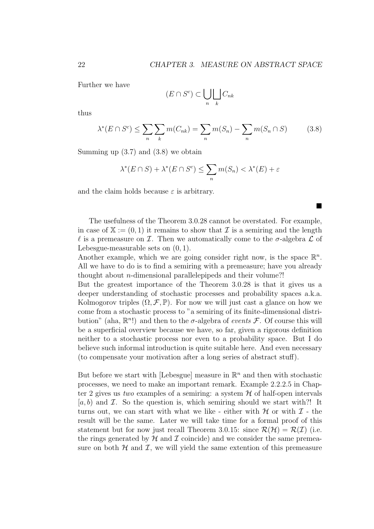¥

Further we have

$$
(E \cap S^c) \subset \bigcup_n \bigsqcup_k C_{nk}
$$

thus

$$
\lambda^*(E \cap S^c) \le \sum_n \sum_k m(C_{nk}) = \sum_n m(S_n) - \sum_n m(S_n \cap S) \tag{3.8}
$$

Summing up  $(3.7)$  and  $(3.8)$  we obtain

$$
\lambda^*(E \cap S) + \lambda^*(E \cap S^c) \le \sum_n m(S_n) < \lambda^*(E) + \varepsilon
$$

and the claim holds because  $\varepsilon$  is arbitrary.

The usefulness of the Theorem 3.0.28 cannot be overstated. For example, in case of  $X := (0, 1)$  it remains to show that I is a semiring and the length  $\ell$  is a premeasure on  $\mathcal I$ . Then we automatically come to the  $\sigma$ -algebra  $\mathcal L$  of Lebesgue-measurable sets on (0, 1).

Another example, which we are going consider right now, is the space  $\mathbb{R}^n$ . All we have to do is to find a semiring with a premeasure; have you already thought about n-dimensional parallelepipeds and their volume?!

But the greatest importance of the Theorem 3.0.28 is that it gives us a deeper understanding of stochastic processes and probability spaces a.k.a. Kolmogorov triples  $(\Omega, \mathcal{F}, \mathbb{P})$ . For now we will just cast a glance on how we come from a stochastic process to "a semiring of its finite-dimensional distribution" (aha,  $\mathbb{R}^n$ !) and then to the  $\sigma$ -algebra of events  $\mathcal{F}$ . Of course this will be a superficial overview because we have, so far, given a rigorous definition neither to a stochastic process nor even to a probability space. But I do believe such informal introduction is quite suitable here. And even necessary (to compensate your motivation after a long series of abstract stuff).

But before we start with [Lebesgue] measure in  $\mathbb{R}^n$  and then with stochastic processes, we need to make an important remark. Example 2.2.2.5 in Chapter 2 gives us two examples of a semiring: a system  $H$  of half-open intervals  $[a, b]$  and  $\mathcal I$ . So the question is, which semiring should we start with?! It turns out, we can start with what we like - either with  $\mathcal H$  or with  $\mathcal I$  - the result will be the same. Later we will take time for a formal proof of this statement but for now just recall Theorem 3.0.15: since  $\mathcal{R}(\mathcal{H}) = \mathcal{R}(\mathcal{I})$  (i.e. the rings generated by  $\mathcal H$  and  $\mathcal I$  coincide) and we consider the same premeasure on both  $H$  and  $I$ , we will yield the same extention of this premeasure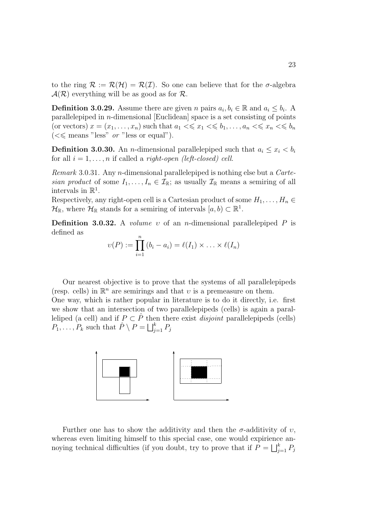to the ring  $\mathcal{R} := \mathcal{R}(\mathcal{H}) = \mathcal{R}(\mathcal{I})$ . So one can believe that for the  $\sigma$ -algebra  $\mathcal{A}(\mathcal{R})$  everything will be as good as for  $\mathcal{R}$ .

**Definition 3.0.29.** Assume there are given n pairs  $a_i, b_i \in \mathbb{R}$  and  $a_i \leq b_i$ . A parallelepiped in  $n$ -dimensional [Euclidean] space is a set consisting of points (or vectors)  $x = (x_1, \ldots, x_n)$  such that  $a_1 \ll x_1 \ll b_1, \ldots, a_n \ll x_n \ll b_n$  $\zeta \ll$  means "less" *or* "less or equal").

**Definition 3.0.30.** An *n*-dimensional parallelepiped such that  $a_i \leq x_i < b_i$ for all  $i = 1, \ldots, n$  if called a *right-open (left-closed) cell.* 

Remark 3.0.31. Any n-dimensional parallelepiped is nothing else but a Cartesian product of some  $I_1, \ldots, I_n \in \mathcal{I}_{\mathbb{R}}$ ; as usually  $\mathcal{I}_{\mathbb{R}}$  means a semiring of all intervals in  $\mathbb{R}^1$ .

Respectively, any right-open cell is a Cartesian product of some  $H_1, \ldots, H_n \in$  $\mathcal{H}_{\mathbb{R}}$ , where  $\mathcal{H}_{\mathbb{R}}$  stands for a semiring of intervals  $[a, b) \subset \mathbb{R}^1$ .

Definition 3.0.32. A *volume v* of an *n*-dimensional parallelepiped  $P$  is defined as

$$
\upsilon(P) := \prod_{i=1}^n (b_i - a_i) = \ell(I_1) \times \ldots \times \ell(I_n)
$$

Our nearest objective is to prove that the systems of all parallelepipeds (resp. cells) in  $\mathbb{R}^n$  are semirings and that v is a premeasure on them. One way, which is rather popular in literature is to do it directly, i.e. first we show that an intersection of two parallelepipeds (cells) is again a paralleliped (a cell) and if  $P \subset \hat{P}$  then there exist *disjoint* parallelepipeds (cells) emped (a cen) and if  $F \subset F$  the<br> $P_1, \ldots, P_k$  such that  $\hat{P} \setminus P = \bigsqcup_i^k$  $\sum_{j=1}^{\kappa} P_j$ 



Further one has to show the additivity and then the  $\sigma$ -additivity of v. whereas even limiting himself to this special case, one would expirience anwhereas even infitting films<br>of the special case, one would expirience noying technical difficulties (if you doubt, try to prove that if  $P = | \int_a^b$  $\sum_{j=1}^k P_j$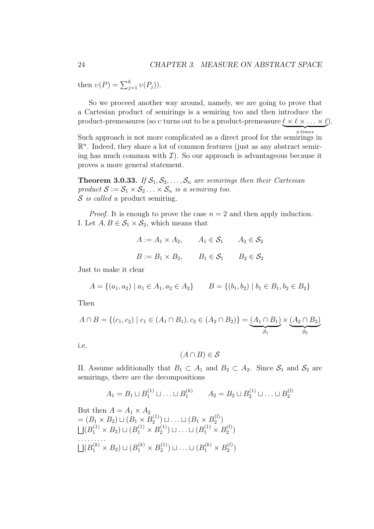then  $v(P) = \sum_{j=1}^{k} v(P_j)$ .

So we proceed another way around, namely, we are going to prove that a Cartesian product of semirings is a semiring too and then introduce the product-premeasures (so  $v$  turns out to be a product-premeasure  $\underline{\ell} \times \ell \times ... \times \ell$ ).  $n times$ 

Such approach is not more complicated as a direct proof for the semirings in  $\mathbb{R}^n$ . Indeed, they share a lot of common features (just as any abstract semiring has much common with  $\mathcal{I}$ ). So our approach is advantageous because it proves a more general statement.

**Theorem 3.0.33.** If  $S_1, S_2, \ldots, S_n$  are semirings then their Cartesian product  $S := S_1 \times S_2 \dots \times S_n$  is a semiring too. S is called a product semiring.

*Proof.* It is enough to prove the case  $n = 2$  and then apply induction. I. Let  $A, B \in \mathcal{S}_1 \times \mathcal{S}_2$ , which means that

$$
A := A_1 \times A_2, \qquad A_1 \in \mathcal{S}_1 \qquad A_2 \in \mathcal{S}_2
$$

$$
B := B_1 \times B_2, \qquad B_1 \in \mathcal{S}_1 \qquad B_2 \in \mathcal{S}_2
$$

Just to make it clear

$$
A = \{(a_1, a_2) \mid a_1 \in A_1, a_2 \in A_2\} \qquad B = \{(b_1, b_2) \mid b_1 \in B_1, b_2 \in B_2\}
$$

Then

$$
A \cap B = \{(c_1, c_2) \mid c_1 \in (A_1 \cap B_1), c_2 \in (A_2 \cap B_2)\} = \underbrace{(A_1 \cap B_1)}_{S_1} \times \underbrace{(A_2 \cap B_2)}_{S_2}
$$

i.e.

$$
(A \cap B) \in \mathcal{S}
$$

II. Assume additionally that  $B_1 \subset A_1$  and  $B_2 \subset A_2$ . Since  $S_1$  and  $S_2$  are semirings, there are the decompositions

$$
A_1 = B_1 \sqcup B_1^{(1)} \sqcup \ldots \sqcup B_1^{(k)} \qquad A_2 = B_2 \sqcup B_2^{(1)} \sqcup \ldots \sqcup B_2^{(l)}
$$

But then  $A = A_1 \times A_2$  $=(B_1 \times B_2) \sqcup (B_1 \times B_2^{(1)})$  $\mathcal{B}_2^{(1)})\sqcup\ldots\sqcup(B_1\times B_2^{(l)})$  $=(B_1 \times B_2) \sqcup (B_1 \times B_2^{(1)}) \sqcup \ldots \sqcup (B_1 \times B_2^{(l)})$  $(B_1^{(1)} \times B_2) \sqcup (B_1^{(1)} \times B_2^{(1)}$  $\binom{1}{2}$   $\Box$  ...  $\Box$   $(B_1^{(1)} \times B_2^{(l)}$  $\binom{(\ell)}{2}$  $\cdots \cdots \cdots$  $(B_1^{(k)} \times B_2) \sqcup (B_1^{(k)} \times B_2^{(1)}$  $\mathcal{B}_2^{(1)}$ )  $\sqcup \ldots \sqcup (B_1^{(k)} \times B_2^{(l)}$  $\binom{t)}{2}$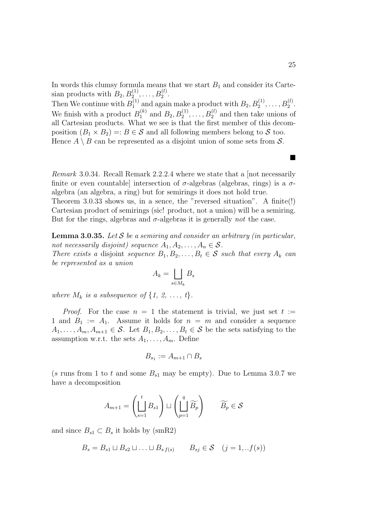In words this clumsy formula means that we start  $B_1$  and consider its Cartesian products with  $B_2, B_2^{(1)}, \ldots, B_2^{(l)}$ .

Then We continue with  $B_1^{(1)}$ <sup>(1)</sup> and again make a product with  $B_2, B_2^{(1)}, \ldots, B_2^{(l)}$ . We finish with a product  $B_1^{(k)}$  $1_1^{(k)}$  and  $B_2, B_2^{(1)}, \ldots, B_2^{(l)}$  and then take unions of all Cartesian products. What we see is that the first member of this decomposition  $(B_1 \times B_2) =: B \in \mathcal{S}$  and all following members belong to  $\mathcal{S}$  too. Hence  $A \setminus B$  can be represented as a disjoint union of some sets from S.

Remark 3.0.34. Recall Remark 2.2.2.4 where we state that a [not necessarily finite or even countable intersection of  $\sigma$ -algebras (algebras, rings) is a  $\sigma$ algebra (an algebra, a ring) but for semirings it does not hold true.

Theorem 3.0.33 shows us, in a sence, the "reversed situation". A finite(!) Cartesian product of semirings (sic! product, not a union) will be a semiring. But for the rings, algebras and  $\sigma$ -algebras it is generally *not* the case.

**Lemma 3.0.35.** Let  $S$  be a semiring and consider an arbitrary (in particular, not necessarily disjoint) sequence  $A_1, A_2, \ldots, A_n \in \mathcal{S}$ . There exists a disjoint sequence  $B_1, B_2, \ldots, B_t \in \mathcal{S}$  such that every  $A_k$  can

be represented as a union  $\overline{\phantom{a}}$ 

$$
A_k = \bigsqcup_{s \in M_k} B_s
$$

where  $M_k$  is a subsequence of  $\{1, 2, \ldots, t\}.$ 

*Proof.* For the case  $n = 1$  the statement is trivial, we just set  $t :=$ 1 and  $B_1 := A_1$ . Assume it holds for  $n = m$  and consider a sequence  $A_1, \ldots, A_m, A_{m+1} \in \mathcal{S}$ . Let  $B_1, B_2, \ldots, B_t \in \mathcal{S}$  be the sets satisfying to the assumption w.r.t. the sets  $A_1, \ldots, A_m$ . Define

$$
B_{s_1} := A_{m+1} \cap B_s
$$

(s runs from 1 to t and some  $B_{s1}$  may be empty). Due to Lemma 3.0.7 we have a decomposition

$$
A_{m+1} = \left(\bigsqcup_{s=1}^t B_{s1}\right) \sqcup \left(\bigsqcup_{p=1}^q \widetilde{B_p}\right) \qquad \widetilde{B_p} \in \mathcal{S}
$$

and since  $B_{s1} \subset B_s$  it holds by (smR2)

$$
B_s = B_{s1} \sqcup B_{s2} \sqcup \ldots \sqcup B_{s f(s)} \qquad B_{s j} \in \mathcal{S} \quad (j = 1, \ldots f(s))
$$

 $\blacksquare$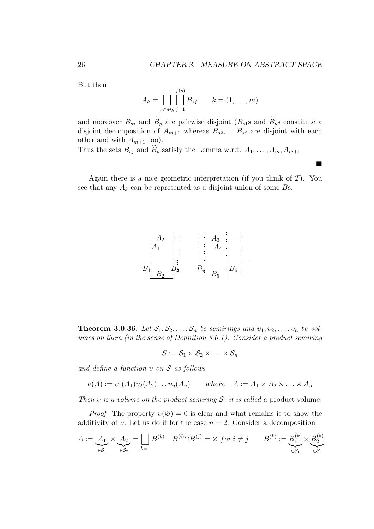¥

But then

$$
A_k = \bigsqcup_{s \in M_k} \bigsqcup_{j=1}^{f(s)} B_{sj} \qquad k = (1, \dots, m)
$$

and moreover  $B_{sj}$  and  $\widetilde{B}_p$  are pairwise disjoint  $(B_{s1}$ s and  $\widetilde{B}_p$ s constitute a disjoint decomposition of  $A_{m+1}$  whereas  $B_{s2}, \ldots B_{sj}$  are disjoint with each other and with  $A_{m+1}$  too).

Thus the sets  $B_{sj}$  and  $\widetilde{B}_p$  satisfy the Lemma w.r.t.  $A_1, \ldots, A_m, A_{m+1}$ 

Again there is a nice geometric interpretation (if you think of  $\mathcal{I}$ ). You see that any  $A_k$  can be represented as a disjoint union of some  $Bs$ .



**Theorem 3.0.36.** Let  $S_1, S_2, \ldots, S_n$  be semirings and  $v_1, v_2, \ldots, v_n$  be volumes on them (in the sense of Definition 3.0.1). Consider a product semiring

$$
S:=\mathcal{S}_1\times\mathcal{S}_2\times\ldots\times\mathcal{S}_n
$$

and define a function  $v$  on  $S$  as follows

$$
v(A) := v_1(A_1)v_2(A_2)\dots v_n(A_n) \qquad where \quad A := A_1 \times A_2 \times \dots \times A_n
$$

Then v is a volume on the product semiring  $S$ ; it is called a product volume.

*Proof.* The property  $v(\emptyset) = 0$  is clear and what remains is to show the additivity of v. Let us do it for the case  $n = 2$ . Consider a decomposition

$$
A := \underbrace{A_1}_{\in \mathcal{S}_1} \times \underbrace{A_2}_{\in \mathcal{S}_2} = \bigsqcup_{k=1} B^{(k)} \quad B^{(i)} \cap B^{(j)} = \varnothing \text{ for } i \neq j \qquad B^{(k)} := \underbrace{B_1^{(k)}}_{\in \mathcal{S}_1} \times \underbrace{B_2^{(k)}}_{\in \mathcal{S}_2}
$$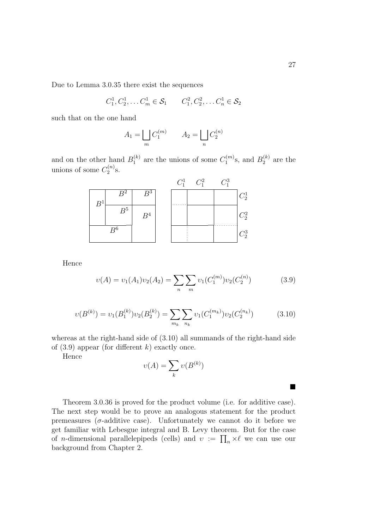Due to Lemma 3.0.35 there exist the sequences

$$
C_1^1, C_2^1, \ldots C_m^1 \in S_1
$$
  $C_1^2, C_2^2, \ldots C_n^1 \in S_2$ 

such that on the one hand

$$
A_1 = \bigsqcup_m C_1^{(m)} \qquad A_2 = \bigsqcup_n C_2^{(n)}
$$

and on the other hand  $B_1^{(k)}$  $_1^{(k)}$  are the unions of some  $C_1^{(m)}$  $h_1^{(m)}$ s, and  $B_2^{(k)}$  $2^{(\kappa)}$  are the unions of some  $C_2^{(n)}$  $\binom{n}{2}$ S.

|       |                |                  | $C_1^1$ | $C_1^2$ | $C_1^3$ |         |
|-------|----------------|------------------|---------|---------|---------|---------|
| $B^1$ | B <sup>2</sup> | $\overline{B^3}$ |         |         |         | $C_2^1$ |
|       | $B^5$          | B <sup>4</sup>   | .       |         |         | $C_2^2$ |
| $B^6$ |                |                  |         |         | .       | $C_2^3$ |

Hence

$$
\upsilon(A) = \upsilon_1(A_1)\upsilon_2(A_2) = \sum_n \sum_m \upsilon_1(C_1^{(m)})\upsilon_2(C_2^{(n)})
$$
\n(3.9)

$$
\upsilon(B^{(k)}) = \upsilon_1(B_1^{(k)})\upsilon_2(B_2^{(k)}) = \sum_{m_k} \sum_{n_k} \upsilon_1(C_1^{(m_k)})\upsilon_2(C_2^{(n_k)})
$$
(3.10)

whereas at the right-hand side of (3.10) all summands of the right-hand side of  $(3.9)$  appear (for different k) exactly once.

Hence

$$
\upsilon(A) = \sum_{k} \upsilon(B^{(k)})
$$

Theorem 3.0.36 is proved for the product volume (i.e. for additive case). The next step would be to prove an analogous statement for the product premeasures ( $\sigma$ -additive case). Unfortunately we cannot do it before we get familiar with Lebesgue integral and B. Levy theorem. But for the case get naminar with Lebesgue integral and B. Levy theorem. But for the case<br>of *n*-dimensional parallelepipeds (cells) and  $v := \prod_n \times \ell$  we can use our background from Chapter 2.

¥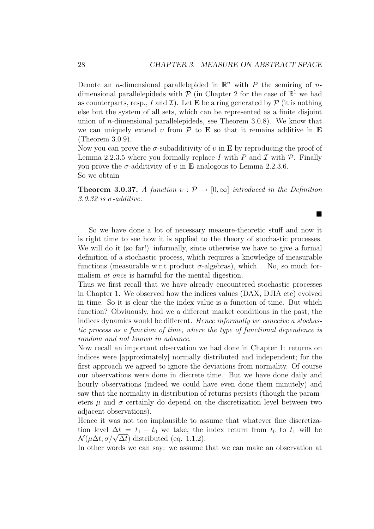¥

Denote an *n*-dimensional parallelepided in  $\mathbb{R}^n$  with P the semiring of *n*dimensional parallelepideds with  $P$  (in Chapter 2 for the case of  $\mathbb{R}^1$  we had as counterparts, resp., I and I). Let **E** be a ring generated by  $\mathcal{P}$  (it is nothing else but the system of all sets, which can be represented as a finite disjoint union of n-dimensional parallelepideds, see Theorem 3.0.8). We know that we can uniquely extend v from  $\mathcal P$  to **E** so that it remains additive in **E** (Theorem 3.0.9).

Now you can prove the  $\sigma$ -subadditivity of v in **E** by reproducing the proof of Lemma 2.2.3.5 where you formally replace I with P and I with  $\mathcal P$ . Finally you prove the  $\sigma$ -additivity of v in **E** analogous to Lemma 2.2.3.6. So we obtain

**Theorem 3.0.37.** A function  $v : \mathcal{P} \to [0,\infty]$  introduced in the Definition  $3.0.32$  is  $\sigma$ -additive.

So we have done a lot of necessary measure-theoretic stuff and now it is right time to see how it is applied to the theory of stochastic processes. We will do it (so far!) informally, since otherwise we have to give a formal definition of a stochastic process, which requires a knowledge of measurable functions (measurable w.r.t product  $\sigma$ -algebras), which... No, so much formalism at once is harmful for the mental digestion.

Thus we first recall that we have already encountered stochastic processes in Chapter 1. We observed how the indices values (DAX, DJIA etc) evolved in time. So it is clear the the index value is a function of time. But which function? Obviuously, had we a different market conditions in the past, the indices dynamics would be different. Hence informally we conceive a stochastic process as a function of time, where the type of functional dependence is random and not known in advance.

Now recall an important observation we had done in Chapter 1: returns on indices were [approximately] normally distributed and independent; for the first approach we agreed to ignore the deviations from normality. Of course our observations were done in discrete time. But we have done daily and hourly observations (indeed we could have even done them minutely) and saw that the normality in distribution of returns persists (though the parameters  $\mu$  and  $\sigma$  certainly do depend on the discretization level between two adjacent observations).

Hence it was not too implausible to assume that whatever fine discretization level  $\Delta t = t_1 - t_0$  we take, the index return from  $t_0$  to  $t_1$  will be tion level  $\Delta t = t_1 - t_0$  we take, the<br>  $\mathcal{N}(\mu \Delta t, \sigma/\sqrt{\Delta t})$  distributed (eq. 1.1.2).

In other words we can say: we assume that we can make an observation at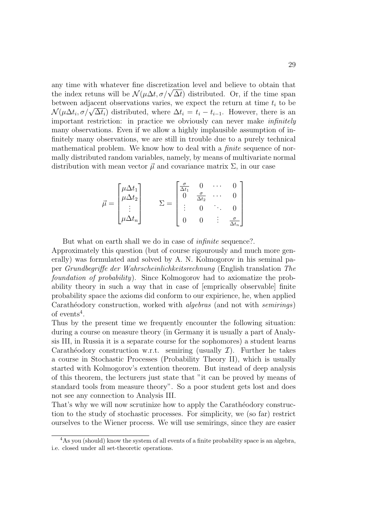any time with whatever fine discretization level and believe to obtain that any time with whatever fine discretization level and believe to obtain that the index retuns will be  $\mathcal{N}(\mu \Delta t, \sigma/\sqrt{\Delta t})$  distributed. Or, if the time span between adjacent observations varies, we expect the return at time  $t_i$  to be between adjacent observations varies, we expect the return at time  $t_i$  to be  $\mathcal{N}(\mu \Delta t_i, \sigma/\sqrt{\Delta t_i})$  distributed, where  $\Delta t_i = t_i - t_{i-1}$ . However, there is an important restriction: in practice we obviously can never make *infinitely* many observations. Even if we allow a highly implausible assumption of infinitely many observations, we are still in trouble due to a purely technical mathematical problem. We know how to deal with a *finite* sequence of normally distributed random variables, namely, by means of multivariate normal distribution with mean vector  $\vec{\mu}$  and covariance matrix  $\Sigma$ , in our case

$$
\vec{\mu} = \begin{bmatrix} \mu \Delta t_1 \\ \mu \Delta t_2 \\ \vdots \\ \mu \Delta t_n \end{bmatrix} \qquad \Sigma = \begin{bmatrix} \frac{\sigma}{\Delta t_1} & 0 & \cdots & 0 \\ 0 & \frac{\sigma}{\Delta t_2} & \cdots & 0 \\ \vdots & 0 & \ddots & 0 \\ 0 & 0 & \vdots & \frac{\sigma}{\Delta t_n} \end{bmatrix}
$$

But what on earth shall we do in case of *infinite* sequence?.

Approximately this question (but of course rigourously and much more generally) was formulated and solved by A. N. Kolmogorov in his seminal paper Grundbegriffe der Wahrscheinlichkeitsrechnung (English translation The foundation of probability). Since Kolmogorov had to axiomatize the probability theory in such a way that in case of [emprically observable] finite probability space the axioms did conform to our expirience, he, when applied Carathéodory construction, worked with *algebras* (and not with *semirings*) of events<sup>4</sup>.

Thus by the present time we frequently encounter the following situation: during a course on measure theory (in Germany it is usually a part of Analysis III, in Russia it is a separate course for the sophomores) a student learns Carathéodory construction w.r.t. semiring (usually  $\mathcal{I}$ ). Further he takes a course in Stochastic Processes (Probability Theory II), which is usually started with Kolmogorov's extention theorem. But instead of deep analysis of this theorem, the lecturers just state that "it can be proved by means of standard tools from measure theory". So a poor student gets lost and does not see any connection to Analysis III.

That's why we will now scrutinize how to apply the Carathéodory construction to the study of stochastic processes. For simplicity, we (so far) restrict ourselves to the Wiener process. We will use semirings, since they are easier

<sup>&</sup>lt;sup>4</sup>As you (should) know the system of all events of a finite probability space is an algebra, i.e. closed under all set-theoretic operations.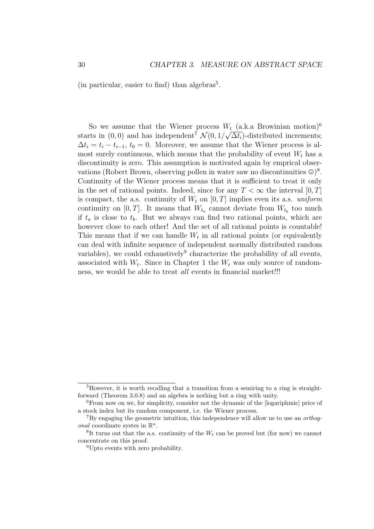(in particular, easier to find) than algebras<sup>5</sup>.

So we assume that the Wiener process  $W_t$  (a.k.a Browinian motion)<sup>6</sup> starts in  $(0,0)$  and has independent<sup>7</sup>  $\mathcal{N}(0,1/\sqrt{\Delta t_i})$ -distributed increments;  $\Delta t_i = t_i - t_{i-1}, t_0 = 0.$  Moreover, we assume that the Wiener process is almost surely continuous, which means that the probability of event  $W_t$  has a discontinuity is zero. This assumption is motivated again by emprical observations (Robert Brown, observing pollen in water saw no discontinuities  $\circledcirc$ )<sup>8</sup>. Continuity of the Wiener process means that it is sufficient to treat it only in the set of rational points. Indeed, since for any  $T < \infty$  the interval  $[0, T]$ is compact, the a.s. continuity of  $W_t$  on  $[0, T]$  implies even its a.s. uniform continuity on  $[0, T]$ . It means that  $W_{t_a}$  cannot deviate from  $W_{t_b}$  too much if  $t_a$  is close to  $t_b$ . But we always can find two rational points, which are however close to each other! And the set of all rational points is countable! This means that if we can handle  $W_t$  in all rational points (or equivalently can deal with infinite sequence of independent normally distributed random variables), we could exhaustively<sup>9</sup> characterize the probability of all events, associated with  $W_t$ . Since in Chapter 1 the  $W_t$  was only source of randomness, we would be able to treat all events in financial market!!!

<sup>5</sup>However, it is worth recalling that a transition from a semiring to a ring is straightforward (Theorem 3.0.8) and an algebra is nothing but a ring with unity.

<sup>6</sup>From now on we, for simplicity, consider not the dynamic of the [logariphmic] price of a stock index but its random component, i.e. the Wiener process.

<sup>7</sup>By engaging the geometric intuition, this independence will allow us to use an orthog*onal* coordinate systes in  $\mathbb{R}^n$ .

<sup>&</sup>lt;sup>8</sup>It turns out that the a.s. continuity of the  $W_t$  can be proved but (for now) we cannot concentrate on this proof.

<sup>9</sup>Upto events with zero probability.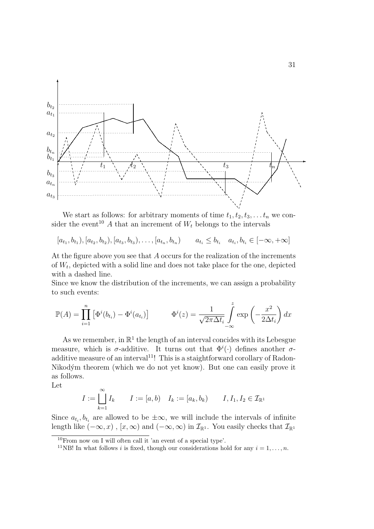

We start as follows: for arbitrary moments of time  $t_1, t_2, t_3, \ldots t_n$  we consider the event<sup>10</sup> A that an increment of  $W_t$  belongs to the intervals

$$
[a_{t_1}, b_{t_1}), [a_{t_2}, b_{t_2}), [a_{t_3}, b_{t_3}), \dots, [a_{t_n}, b_{t_n}) \qquad a_{t_i} \leq b_{t_i} \quad a_{t_i}, b_{t_i} \in [-\infty, +\infty]
$$

At the figure above you see that A occurs for the realization of the increments of  $W_t$ , depicted with a solid line and does not take place for the one, depicted with a dashed line.

Since we know the distribution of the increments, we can assign a probability to such events:

$$
\mathbb{P}(A) = \prod_{i=1}^{n} \left[ \Phi^{i}(b_{t_i}) - \Phi^{i}(a_{t_i}) \right] \qquad \Phi^{i}(z) = \frac{1}{\sqrt{2\pi\Delta t_i}} \int_{-\infty}^{z} \exp\left(-\frac{x^2}{2\Delta t_i}\right) dx
$$

As we remember, in  $\mathbb{R}^1$  the length of an interval concides with its Lebesgue measure, which is  $\sigma$ -additive. It turns out that  $\Phi^i(\cdot)$  defines another  $\sigma$ additive measure of an interval<sup>11</sup>! This is a staightforward corollary of Radon-Nikodým theorem (which we do not yet know). But one can easily prove it as follows.

Let

$$
I := \bigcup_{k=1}^{\infty} I_k \qquad I := [a, b) \quad I_k := [a_k, b_k) \qquad I, I_1, I_2 \in \mathcal{I}_{\mathbb{R}^1}
$$

Since  $a_{t_i}, b_{t_i}$  are allowed to be  $\pm \infty$ , we will include the intervals of infinite length like  $(-\infty, x)$ ,  $[x, \infty)$  and  $(-\infty, \infty)$  in  $\mathcal{I}_{\mathbb{R}^1}$ . You easily checks that  $\mathcal{I}_{\mathbb{R}^1}$ 

 $10$ From now on I will often call it 'an event of a special type'.

<sup>&</sup>lt;sup>11</sup>NB! In what follows *i* is fixed, though our considerations hold for any  $i = 1, ..., n$ .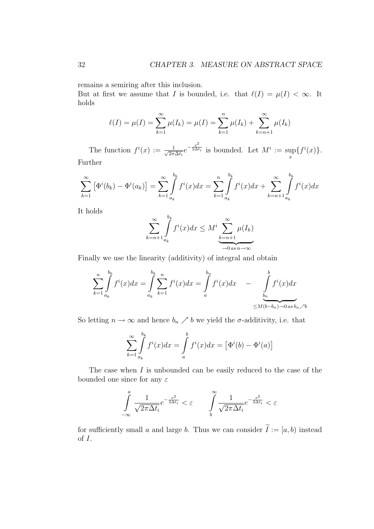remains a semiring after this inclusion.

But at first we assume that I is bounded, i.e. that  $\ell(I) = \mu(I) < \infty$ . It holds

$$
\ell(I) = \mu(I) = \sum_{k=1}^{\infty} \mu(I_k) = \mu(I) = \sum_{k=1}^{n} \mu(I_k) + \sum_{k=n+1}^{\infty} \mu(I_k)
$$

The function  $f^{i}(x) := \frac{1}{\sqrt{2\pi}}$  $\frac{1}{2\pi\Delta t_i}e^{-\frac{x^2}{2\Delta t_i}}$  is bounded. Let  $M^i:=\sup$ x  ${f<sup>i</sup>(x)}$ . Further

$$
\sum_{k=1}^{\infty} \left[ \Phi^{i}(b_{k}) - \Phi^{i}(a_{k}) \right] = \sum_{k=1}^{\infty} \int_{a_{k}}^{b_{k}} f^{i}(x) dx = \sum_{k=1}^{n} \int_{a_{k}}^{b_{k}} f^{i}(x) dx + \sum_{k=n+1}^{\infty} \int_{a_{k}}^{b_{k}} f^{i}(x) dx
$$

It holds

$$
\sum_{k=n+1}^{\infty} \int_{a_k}^{b_k} f^i(x) dx \leq M^i \sum_{k=n+1}^{\infty} \mu(I_k)
$$

Finally we use the linearity (additivity) of integral and obtain

$$
\sum_{k=1}^{n} \int_{a_k}^{b_k} f^i(x) dx = \int_{a_k}^{b_k} \sum_{k=1}^{n} f^i(x) dx = \int_{a}^{b_n} f^i(x) dx \quad - \quad \int_{b_n}^{b} f^i(x) dx
$$
  

$$
\leq M(b-b_n) \to 0 \text{ as } b_n \nearrow b
$$

So letting  $n \to \infty$  and hence  $b_n \nearrow b$  we yield the  $\sigma$ -additivity, i.e. that

$$
\sum_{k=1}^{\infty} \int_{a_k}^{b_k} f^i(x) dx = \int_a^b f^i(x) dx = \left[ \Phi^i(b) - \Phi^i(a) \right]
$$

The case when  $I$  is unbounded can be easily reduced to the case of the bounded one since for any  $\varepsilon$ 

$$
\int\limits_{-\infty}^a \frac{1}{\sqrt{2\pi \Delta t_i}} e^{-\frac{x^2}{2\Delta t_i}} < \varepsilon \qquad \int\limits_b^{\infty} \frac{1}{\sqrt{2\pi \Delta t_i}} e^{-\frac{x^2}{2\Delta t_i}} < \varepsilon
$$

for sufficiently small a and large b. Thus we can consider  $\widetilde{I} := [a, b)$  instead of I.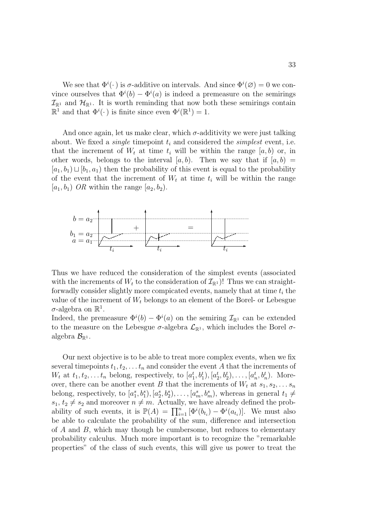We see that  $\Phi^i(\cdot)$  is  $\sigma$ -additive on intervals. And since  $\Phi^i(\emptyset) = 0$  we convince ourselves that  $\Phi^i(b) - \Phi^i(a)$  is indeed a premeasure on the semirings  $\mathcal{I}_{\mathbb{R}^1}$  and  $\mathcal{H}_{\mathbb{R}^1}$ . It is worth reminding that now both these semirings contain  $\mathbb{R}^1$  and that  $\Phi^i(\cdot)$  is finite since even  $\Phi^i(\mathbb{R}^1) = 1$ .

And once again, let us make clear, which  $\sigma$ -additivity we were just talking about. We fixed a *single* timepoint  $t_i$  and considered the *simplest* event, i.e. that the increment of  $W_t$  at time  $t_i$  will be within the range  $[a, b)$  or, in other words, belongs to the interval  $(a, b)$ . Then we say that if  $(a, b)$  =  $[a_1, b_1) \sqcup [b_1, a_1]$  then the probability of this event is equal to the probability of the event that the increment of  $W_t$  at time  $t_i$  will be within the range  $[a_1, b_1]$  OR within the range  $[a_2, b_2]$ .



Thus we have reduced the consideration of the simplest events (associated with the increments of  $W_t$  to the consideration of  $\mathcal{I}_{\mathbb{R}^1}$ ! Thus we can straightforwadly consider slightly more compicated events, namely that at time  $t_i$  the value of the increment of  $W_t$  belongs to an element of the Borel- or Lebesgue  $\sigma$ -algebra on  $\mathbb{R}^1$ .

Indeed, the premeasure  $\Phi^i(b) - \Phi^i(a)$  on the semiring  $\mathcal{I}_{\mathbb{R}^1}$  can be extended to the measure on the Lebesgue  $\sigma$ -algebra  $\mathcal{L}_{\mathbb{R}^1}$ , which includes the Borel  $\sigma$ algebra  $\mathcal{B}_{\mathbb{R}^1}$ .

Our next objective is to be able to treat more complex events, when we fix several timepoints  $t_1, t_2, \ldots t_n$  and consider the event A that the increments of  $W_t$  at  $t_1, t_2, \ldots t_n$  belong, respectively, to  $[a_1^t, b_1^t), [a_2^t, b_2^t), \ldots, [a_n^t, b_n^t)$ . Moreover, there can be another event B that the increments of  $W_t$  at  $s_1, s_2, \ldots s_n$ belong, respectively, to  $[a_1^s, b_1^s), [a_2^s, b_2^s), \ldots, [a_m^s, b_m^s)$ , whereas in general  $t_1 \neq$  $s_1, t_2 \neq s_2$  and moreover  $n \neq m$ . Actually, we have already defined the prob $s_1, t_2 \neq s_2$  and moreover  $n \neq m$ . Actually, we have already defined the probability of such events, it is  $\mathbb{P}(A) = \prod_{i=1}^n [\Phi^i(b_{t_i}) - \Phi^i(a_{t_i})]$ . We must also be able to calculate the probability of the sum, difference and intersection of  $A$  and  $B$ , which may though be cumbersome, but reduces to elementary probability calculus. Much more important is to recognize the "remarkable properties" of the class of such events, this will give us power to treat the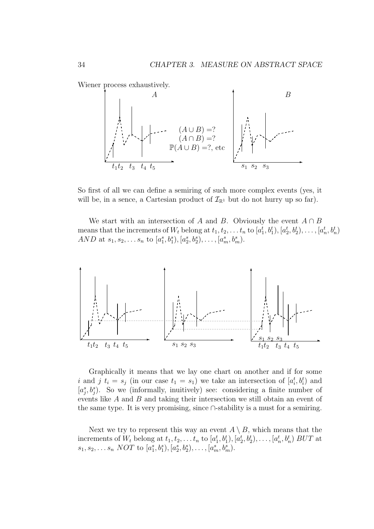Wiener process exhaustively.



So first of all we can define a semiring of such more complex events (yes, it will be, in a sence, a Cartesian product of  $\mathcal{I}_{\mathbb{R}^1}$  but do not hurry up so far).

We start with an intersection of A and B. Obviously the event  $A \cap B$ means that the increments of  $W_t$  belong at  $t_1, t_2, \ldots t_n$  to  $[a_1^t, b_1^t), [a_2^t, b_2^t), \ldots, [a_n^t, b_n^t)$ AND at  $s_1, s_2, \ldots s_n$  to  $[a_1^s, b_1^s), [a_2^s, b_2^s), \ldots, [a_m^s, b_m^s)$ .



Graphically it means that we lay one chart on another and if for some i and j  $t_i = s_j$  (in our case  $t_1 = s_1$ ) we take an intersection of  $[a_i^t, b_i^t]$  and  $[a_j^s, b_j^s]$ . So we (informally, inuitively) see: considering a finite number of events like A and B and taking their intersection we still obtain an event of the same type. It is very promising, since ∩-stability is a must for a semiring.

Next we try to represent this way an event  $A \setminus B$ , which means that the increments of  $W_t$  belong at  $t_1, t_2, \ldots t_n$  to  $[a_1^t, b_1^t), [a_2^t, b_2^t), \ldots, [a_n^t, b_n^t)$  BUT at  $s_1, s_2, \ldots s_n \; NOT \; to \; [a_1^s, b_1^s), [a_2^s, b_2^s), \ldots, [a_m^s, b_m^s).$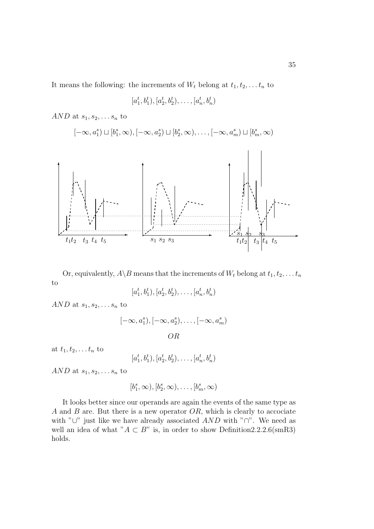It means the following: the increments of  $W_t$  belong at  $t_1, t_2, \ldots t_n$  to

$$
[a_1^t, b_1^t), [a_2^t, b_2^t), \ldots, [a_n^t, b_n^t)
$$

AND at  $s_1, s_2, \ldots s_n$  to

$$
[-\infty, a_1^s) \sqcup [b_1^s, \infty), [-\infty, a_2^s) \sqcup [b_2^s, \infty), \dots, [-\infty, a_m^s) \sqcup [b_m^s, \infty)
$$



Or, equivalently,  $A \ B$  means that the increments of  $W_t$  belong at  $t_1, t_2, \ldots t_n$ to

 $[a_1^t, b_1^t), [a_2^t, b_2^t), \ldots, [a_n^t, b_n^t)$ 

AND at  $s_1, s_2, \ldots s_n$  to

$$
[-\infty, a_1^s), [-\infty, a_2^s), \dots, [-\infty, a_m^s)
$$
  
*OR*

at  $t_1, t_2, \ldots t_n$  to

$$
[a_1^t, b_1^t), [a_2^t, b_2^t), \ldots, [a_n^t, b_n^t)
$$

AND at  $s_1, s_2, \ldots s_n$  to

$$
[b_1^s,\infty), [b_2^s,\infty),\ldots, [b_m^s,\infty)
$$

It looks better since our operands are again the events of the same type as A and B are. But there is a new operator  $OR$ , which is clearly to accociate with "∪" just like we have already associated  $AND$  with "∩". We need as well an idea of what " $A \subset B$ " is, in order to show Definition2.2.2.6(smR3) holds.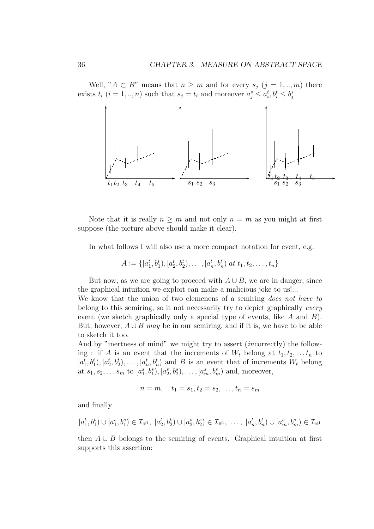Well, " $A \subset B$ " means that  $n \geq m$  and for every  $s_j$   $(j = 1, ..., m)$  there exists  $t_i$   $(i = 1, ..., n)$  such that  $s_j = t_i$  and moreover  $a_j^s \leq a_i^t, b_i^t \leq b_j^s$ .



Note that it is really  $n \geq m$  and not only  $n = m$  as you might at first suppose (the picture above should make it clear).

In what follows I will also use a more compact notation for event, e.g.

$$
A := \{ [a_1^t, b_1^t), [a_2^t, b_2^t), \dots, [a_n^t, b_n^t) \text{ at } t_1, t_2, \dots, t_n \}
$$

But now, as we are going to proceed with  $A \cup B$ , we are in danger, since the graphical intuition we exploit can make a malicious joke to us!...

We know that the union of two elemenens of a semiring *does not have to* belong to this semiring, so it not necessarily try to depict graphically every event (we sketch graphically only a special type of events, like A and B). But, however,  $A \cup B$  may be in our semiring, and if it is, we have to be able to sketch it too.

And by "inertness of mind" we might try to assert (incorrectly) the following : if A is an event that the increments of  $W_t$  belong at  $t_1, t_2, \ldots t_n$  to  $[a_1^t, b_1^t), [a_2^t, b_2^t), \ldots, [a_n^t, b_n^t]$  and B is an event that of increments  $W_t$  belong at  $s_1, s_2, \ldots s_m$  to  $[a_1^s, b_1^s), [a_2^s, b_2^s), \ldots, [a_m^s, b_m^s)$  and, moreover,

$$
n = m, \quad t_1 = s_1, t_2 = s_2, \dots, t_n = s_m
$$

and finally

$$
[a_1^t, b_1^t) \cup [a_1^s, b_1^s) \in \mathcal{I}_{\mathbb{R}^1}, [a_2^t, b_2^t) \cup [a_2^s, b_2^s) \in \mathcal{I}_{\mathbb{R}^1}, \dots, [a_n^t, b_n^t) \cup [a_m^s, b_m^s) \in \mathcal{I}_{\mathbb{R}^1}
$$

then  $A \cup B$  belongs to the semiring of events. Graphical intuition at first supports this assertion: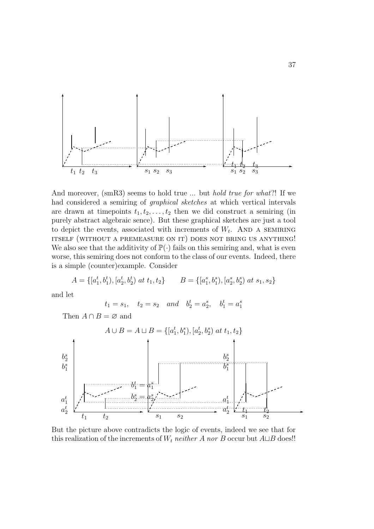

And moreover, (smR3) seems to hold true ... but *hold true for what*?! If we had considered a semiring of graphical sketches at which vertical intervals are drawn at timepoints  $t_1, t_2, \ldots, t_2$  then we did construct a semiring (in purely abstract algebraic sence). But these graphical sketches are just a tool to depict the events, associated with increments of  $W_t$ . AND A SEMIRING itself (without a premeasure on it) does not bring us anything! We also see that the additivity of  $\mathbb{P}(\cdot)$  fails on this semiring and, what is even worse, this semiring does not conform to the class of our events. Indeed, there is a simple (counter)example. Consider

$$
A = \{ [a_1^t, b_1^t), [a_2^t, b_2^t) \text{ at } t_1, t_2 \} \qquad B = \{ [a_1^s, b_1^s), [a_2^s, b_2^s) \text{ at } s_1, s_2 \}
$$

and let

$$
t_1 = s_1
$$
,  $t_2 = s_2$  and  $b_2^t = a_2^s$ ,  $b_1^t = a_1^s$ 

Then  $A \cap B = \emptyset$  and



But the picture above contradicts the logic of events, indeed we see that for this realization of the increments of  $W_t$  neither A nor B occur but  $A \sqcup B$  does!!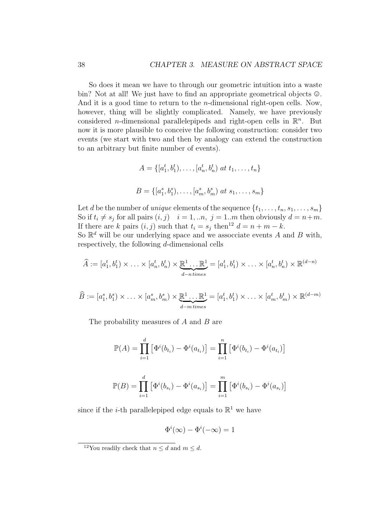So does it mean we have to through our geometric intuition into a waste bin? Not at all! We just have to find an appropriate geometrical objects  $\mathcal{Q}$ . And it is a good time to return to the *n*-dimensional right-open cells. Now, however, thing will be slightly complicated. Namely, we have previously considered *n*-dimensional parallelepipeds and right-open cells in  $\mathbb{R}^n$ . But now it is more plausible to conceive the following construction: consider two events (we start with two and then by analogy can extend the construction to an arbitrary but finite number of events).

$$
A = \{ [a_1^t, b_1^t), \dots, [a_n^t, b_n^t] \text{ at } t_1, \dots, t_n \}
$$
  

$$
B = \{ [a_1^s, b_1^s), \dots, [a_m^s, b_m^s] \text{ at } s_1, \dots, s_m \}
$$

Let d be the number of *unique* elements of the sequence  $\{t_1, \ldots, t_n, s_1, \ldots, s_m\}$ So if  $t_i \neq s_j$  for all pairs  $(i, j)$   $i = 1, ...n$ ,  $j = 1..m$  then obviously  $d = n+m$ . If there are k pairs  $(i, j)$  such that  $t_i = s_j$  then<sup>12</sup>  $d = n + m - k$ . So  $\mathbb{R}^d$  will be our underlying space and we assocciate events A and B with,

respectively, the following d-dimensional cells

$$
\widehat{A} := [a_1^t, b_1^t) \times \ldots \times [a_n^t, b_n^t) \times \underbrace{\mathbb{R}^1 \ldots \mathbb{R}^1}_{d-ntimes} = [a_1^t, b_1^t) \times \ldots \times [a_n^t, b_n^t) \times \mathbb{R}^{(d-n)}
$$

$$
\widehat{B} := [a_1^s, b_1^s) \times \ldots \times [a_m^s, b_m^s) \times \underbrace{\mathbb{R}^1 \ldots \mathbb{R}^1}_{d-m \, times} = [a_1^t, b_1^t) \times \ldots \times [a_m^t, b_m^t) \times \mathbb{R}^{(d-m)}
$$

The probability measures of  $A$  and  $B$  are

$$
\mathbb{P}(A) = \prod_{i=1}^{d} \left[ \Phi^{i}(b_{t_i}) - \Phi^{i}(a_{t_i}) \right] = \prod_{i=1}^{n} \left[ \Phi^{i}(b_{t_i}) - \Phi^{i}(a_{t_i}) \right]
$$

$$
\mathbb{P}(B) = \prod_{i=1}^{d} \left[ \Phi^{i}(b_{s_i}) - \Phi^{i}(a_{s_i}) \right] = \prod_{i=1}^{m} \left[ \Phi^{i}(b_{s_i}) - \Phi^{i}(a_{s_i}) \right]
$$

since if the *i*-th parallelepiped edge equals to  $\mathbb{R}^1$  we have

$$
\Phi^i(\infty) - \Phi^i(-\infty) = 1
$$

<sup>&</sup>lt;sup>12</sup>You readily check that  $n \leq d$  and  $m \leq d$ .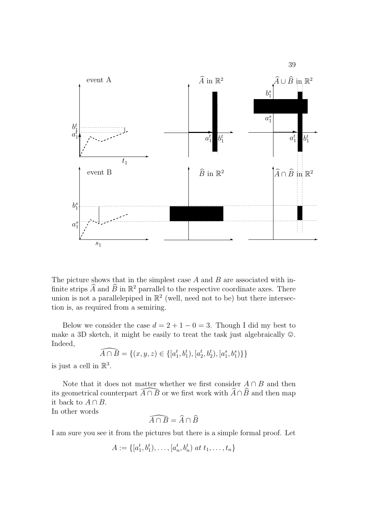

The picture shows that in the simplest case  $A$  and  $B$  are associated with infinite strips  $\widehat{A}$  and  $\widehat{B}$  in  $\mathbb{R}^2$  parrallel to the respective coordinate axes. There union is not a parallelepiped in  $\mathbb{R}^2$  (well, need not to be) but there intersection is, as required from a semiring.

Below we consider the case  $d = 2 + 1 - 0 = 3$ . Though I did my best to make a 3D sketch, it might be easily to treat the task just algebraically  $\odot$ . Indeed,

$$
\widehat{A \cap B} = \{ (x, y, z) \in \{ [a_1^t, b_1^t), [a_2^t, b_2^t), [a_1^s, b_1^s) \} \}
$$

is just a cell in  $\mathbb{R}^3$ .

Note that it does not matter whether we first consider  $A \cap B$  and then its geometrical counterpart  $\overline{A}\cap\overline{B}$  or we first work with  $\widehat{A}\cap\widehat{B}$  and then map it back to  $A \cap B$ .

In other words

$$
\widehat{A \cap B} = \widehat{A} \cap \widehat{B}
$$

I am sure you see it from the pictures but there is a simple formal proof. Let

$$
A := \{ [a_1^t, b_1^t), \dots, [a_n^t, b_n^t) \text{ at } t_1, \dots, t_n \}
$$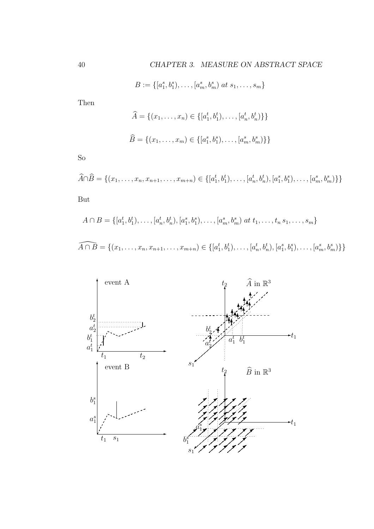$B := \{ [a_1^s, b_1^s), \ldots, [a_m^s, b_m^s] \text{ at } s_1, \ldots, s_m \}$ 

Then

$$
\widehat{A} = \{ (x_1, \dots, x_n) \in \{ [a_1^t, b_1^t), \dots, [a_n^t, b_n^t) \} \}
$$
  

$$
\widehat{B} = \{ (x_1, \dots, x_m) \in \{ [a_1^s, b_1^s), \dots, [a_m^s, b_m^s) \} \}
$$

So

$$
\widehat{A} \cap \widehat{B} = \{ (x_1, \dots, x_n, x_{n+1}, \dots, x_{m+n}) \in \{ [a_1^t, b_1^t), \dots, [a_n^t, b_n^t), [a_1^s, b_1^s), \dots, [a_m^s, b_m^s) \} \}
$$

But

$$
A \cap B = \{ [a_1^t, b_1^t), \dots, [a_n^t, b_n^t), [a_1^s, b_1^s), \dots, [a_m^s, b_m^s) \text{ at } t_1, \dots, t_n s_1, \dots, s_m \}
$$
  

$$
\widehat{A \cap B} = \{ (x_1, \dots, x_n, x_{n+1}, \dots, x_{m+n}) \in \{ [a_1^t, b_1^t), \dots, [a_n^t, b_n^t), [a_1^s, b_1^s), \dots, [a_m^s, b_m^s) \} \}
$$

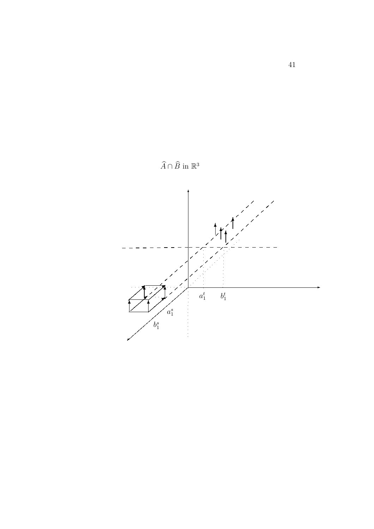

 $\widehat{A} \cap \widehat{B}$  in  $\mathbb{R}^3$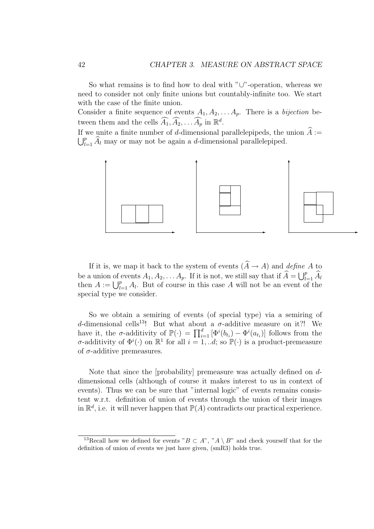So what remains is to find how to deal with "∪"-operation, whereas we need to consider not only finite unions but countably-infinite too. We start with the case of the finite union.

Consider a finite sequence of events  $A_1, A_2, \ldots A_p$ . There is a bijection between them and the cells  $\widehat{A}_1, \widehat{A}_2, \ldots, \widehat{A}_p$  in  $\mathbb{R}^d$ .

If we unite a finite number of d-dimensional parallelepipeds, the union  $\hat{A} :=$  $\bigcup_{l=1}^p A_l$  may or may not be again a d-dimensional parallelepiped.



If it is, we map it back to the system of events  $(\widehat{A} \to A)$  and define A to be a union of events  $A_1, A_2, \ldots A_p$ . If it is not, we still say that if  $\widehat{A} = \bigcup_{l=1}^p \widehat{A}_l$ be a union of events  $A_1, A_2, \ldots, A_p$ . If it is not, we still say that if  $A = \bigcup_{l=1}^{p} A_l$  then  $A := \bigcup_{l=1}^{p} A_l$ . But of course in this case A will not be an event of the special type we consider.

So we obtain a semiring of events (of special type) via a semiring of d-dimensional cells<sup>13</sup>! But what about a  $\sigma$ -additive measure on it?! We have it, the  $\sigma$ -additivity of  $\mathbb{P}(\cdot) = \prod_{i=1}^d [\Phi^i(b_{t_i}) - \Phi^i(a_{t_i})]$  follows from the σ-additivity of  $\Phi^i(\cdot)$  on  $\mathbb{R}^1$  for all  $i = 1, ...d$ ; so  $\mathbb{P}(\cdot)$  is a product-premeasure of  $\sigma$ -additive premeasures.

Note that since the [probability] premeasure was actually defined on ddimensional cells (although of course it makes interest to us in context of events). Thus we can be sure that "internal logic" of events remains consistent w.r.t. definition of union of events through the union of their images in  $\mathbb{R}^d$ , i.e. it will never happen that  $\mathbb{P}(A)$  contradicts our practical experience.

<sup>&</sup>lt;sup>13</sup>Recall how we defined for events " $B \subset A$ ", " $A \setminus B$ " and check yourself that for the definition of union of events we just have given, (smR3) holds true.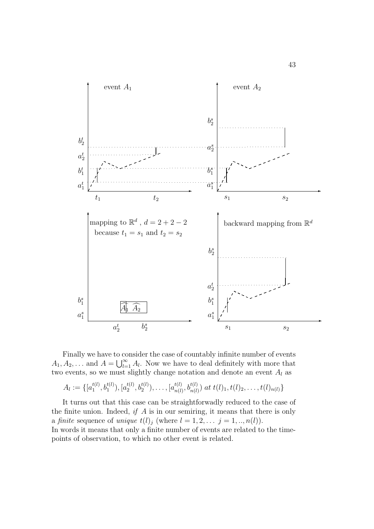

Finally we have to consider the case of countably infinite number of events Finally we have to co<br> $A_1, A_2, \ldots$  and  $A = \bigcup_{l=1}^{\infty}$  $\sum_{l=1}^{\infty} A_l$ . Now we have to deal definitely with more that two events, so we must slightly change notation and denote an event  $A_l$  as

$$
A_l := \{ [a_1^{t(l)}, b_1^{t(l)}), [a_2^{t(l)}, b_2^{t(l)}), \dots, [a_{n(l)}^{t(l)}, b_{n(l)}^{t(l)}] \text{ at } t(l)_1, t(l)_2, \dots, t(l)_{n(l)} \}
$$

It turns out that this case can be straightforwadly reduced to the case of the finite union. Indeed, if  $A$  is in our semiring, it means that there is only a finite sequence of unique  $t(l)_j$  (where  $l = 1, 2, \ldots j = 1, \ldots, n(l)$ ). In words it means that only a finite number of events are related to the timepoints of observation, to which no other event is related.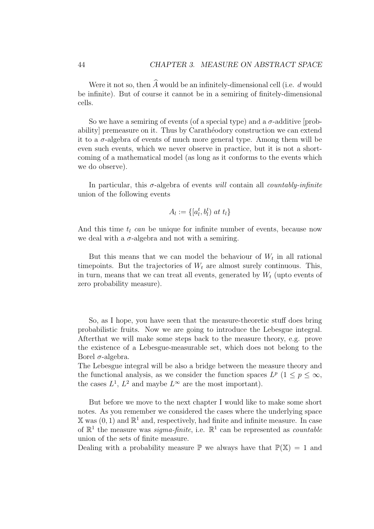Were it not so, then  $\widehat{A}$  would be an infinitely-dimensional cell (i.e. d would be infinite). But of course it cannot be in a semiring of finitely-dimensional cells.

So we have a semiring of events (of a special type) and a  $\sigma$ -additive [probability] premeasure on it. Thus by Carathéodory construction we can extend it to a  $\sigma$ -algebra of events of much more general type. Among them will be even such events, which we never observe in practice, but it is not a shortcoming of a mathematical model (as long as it conforms to the events which we do observe).

In particular, this  $\sigma$ -algebra of events *will* contain all *countably-infinite* union of the following events

$$
A_l := \{ [a_l^t, b_l^t) \text{ at } t_l \}
$$

And this time  $t_l$  can be unique for infinite number of events, because now we deal with a  $\sigma$ -algebra and not with a semiring.

But this means that we can model the behaviour of  $W_t$  in all rational timepoints. But the trajectories of  $W_t$  are almost surely continuous. This, in turn, means that we can treat all events, generated by  $W_t$  (upto events of zero probability measure).

So, as I hope, you have seen that the measure-theoretic stuff does bring probabilistic fruits. Now we are going to introduce the Lebesgue integral. Afterthat we will make some steps back to the measure theory, e.g. prove the existence of a Lebesgue-measurable set, which does not belong to the Borel  $σ$ -algebra.

The Lebesgue integral will be also a bridge between the measure theory and the functional analysis, as we consider the function spaces  $L^p$  ( $1 \leq p \leq \infty$ , the cases  $L^1$ ,  $L^2$  and maybe  $L^\infty$  are the most important).

But before we move to the next chapter I would like to make some short notes. As you remember we considered the cases where the underlying space  $X$  was  $(0, 1)$  and  $\mathbb{R}^1$  and, respectively, had finite and infinite measure. In case of  $\mathbb{R}^1$  the measure was *sigma-finite*, i.e.  $\mathbb{R}^1$  can be represented as *countable* union of the sets of finite measure.

Dealing with a probability measure  $\mathbb P$  we always have that  $\mathbb P(\mathbb X) = 1$  and